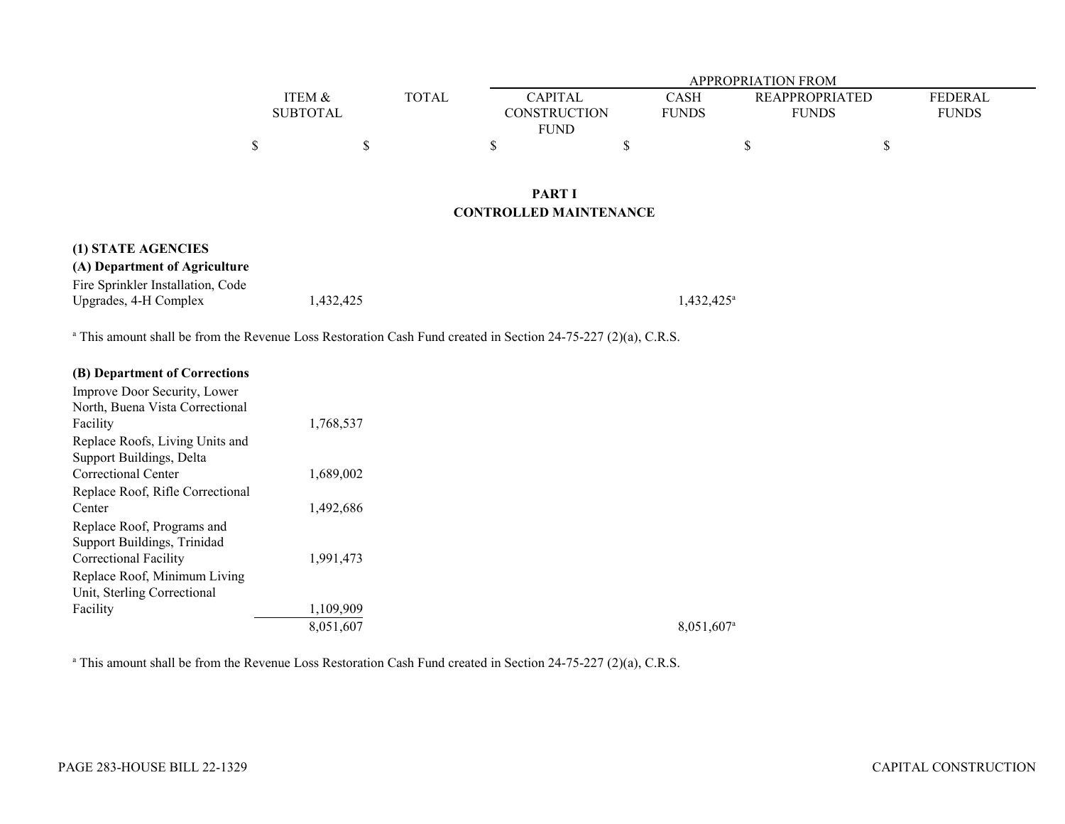|                   |              |                     |              | APPROPRIATION FROM    |                |
|-------------------|--------------|---------------------|--------------|-----------------------|----------------|
| <b>ITEM &amp;</b> | <b>TOTAL</b> | <b>CAPITAL</b>      | CASH         | <b>REAPPROPRIATED</b> | <b>FEDERAL</b> |
| SUBTOTAL          |              | <b>CONSTRUCTION</b> | <b>FUNDS</b> | <b>FUNDS</b>          | <b>FUNDS</b>   |
|                   |              | <b>FUND</b>         |              |                       |                |
|                   |              |                     |              |                       |                |

#### **PART I CONTROLLED MAINTENANCE**

## **(1) STATE AGENCIES**

|              |  |  | (A) Department of Agriculture |  |
|--------------|--|--|-------------------------------|--|
| $\mathbf{r}$ |  |  |                               |  |

| Fire Sprinkler Installation, Code |           |                        |
|-----------------------------------|-----------|------------------------|
| Upgrades, 4-H Complex             | 1,432,425 | 1,432,425 <sup>a</sup> |

<sup>a</sup> This amount shall be from the Revenue Loss Restoration Cash Fund created in Section 24-75-227 (2)(a), C.R.S.

| (B) Department of Corrections    |           |  |
|----------------------------------|-----------|--|
| Improve Door Security, Lower     |           |  |
| North, Buena Vista Correctional  |           |  |
| Facility                         | 1,768,537 |  |
| Replace Roofs, Living Units and  |           |  |
| Support Buildings, Delta         |           |  |
| Correctional Center              | 1,689,002 |  |
| Replace Roof, Rifle Correctional |           |  |
| Center                           | 1,492,686 |  |
| Replace Roof, Programs and       |           |  |
| Support Buildings, Trinidad      |           |  |
| Correctional Facility            | 1,991,473 |  |
| Replace Roof, Minimum Living     |           |  |
| Unit, Sterling Correctional      |           |  |
| Facility                         | 1,109,909 |  |
|                                  | 8,051,607 |  |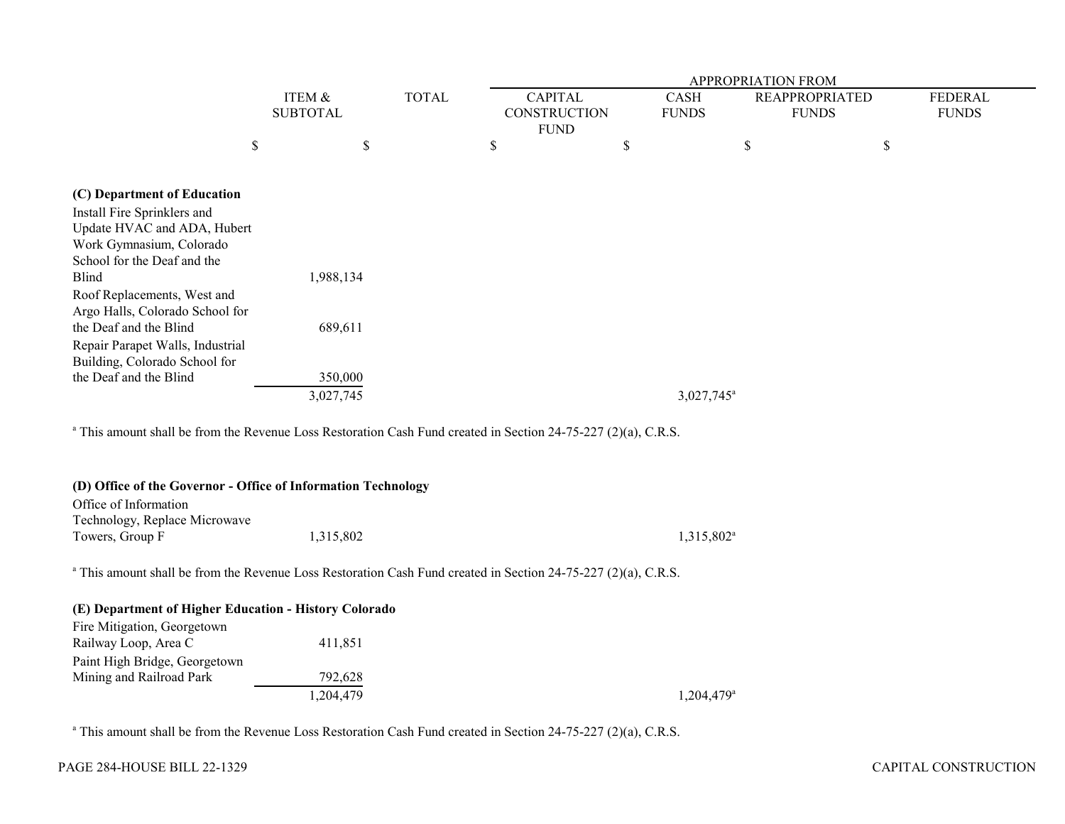|                                  |                 |              |                     |   |                        | <b>APPROPRIATION FROM</b> |              |
|----------------------------------|-----------------|--------------|---------------------|---|------------------------|---------------------------|--------------|
|                                  | ITEM &          | <b>TOTAL</b> | <b>CAPITAL</b>      |   | <b>CASH</b>            | <b>REAPPROPRIATED</b>     | FEDERAL      |
|                                  | <b>SUBTOTAL</b> |              | <b>CONSTRUCTION</b> |   | <b>FUNDS</b>           | <b>FUNDS</b>              | <b>FUNDS</b> |
|                                  |                 |              | <b>FUND</b>         |   |                        |                           |              |
| P                                | \$              |              | D                   | P | \$                     |                           | \$           |
|                                  |                 |              |                     |   |                        |                           |              |
| (C) Department of Education      |                 |              |                     |   |                        |                           |              |
| Install Fire Sprinklers and      |                 |              |                     |   |                        |                           |              |
| Update HVAC and ADA, Hubert      |                 |              |                     |   |                        |                           |              |
| Work Gymnasium, Colorado         |                 |              |                     |   |                        |                           |              |
| School for the Deaf and the      |                 |              |                     |   |                        |                           |              |
| Blind                            | 1,988,134       |              |                     |   |                        |                           |              |
| Roof Replacements, West and      |                 |              |                     |   |                        |                           |              |
| Argo Halls, Colorado School for  |                 |              |                     |   |                        |                           |              |
| the Deaf and the Blind           | 689,611         |              |                     |   |                        |                           |              |
| Repair Parapet Walls, Industrial |                 |              |                     |   |                        |                           |              |
| Building, Colorado School for    |                 |              |                     |   |                        |                           |              |
| the Deaf and the Blind           | 350,000         |              |                     |   |                        |                           |              |
|                                  | 3,027,745       |              |                     |   | 3,027,745 <sup>a</sup> |                           |              |

|  |  | (D) Office of the Governor - Office of Information Technology |
|--|--|---------------------------------------------------------------|
|  |  |                                                               |

| Office of Information         |           |                        |
|-------------------------------|-----------|------------------------|
| Technology, Replace Microwave |           |                        |
| Towers, Group F               | 1.315.802 | $1.315.802^{\text{a}}$ |

<sup>a</sup> This amount shall be from the Revenue Loss Restoration Cash Fund created in Section 24-75-227 (2)(a), C.R.S.

#### **(E) Department of Higher Education - History Colorado**

| Fire Mitigation, Georgetown   |           |                          |
|-------------------------------|-----------|--------------------------|
| Railway Loop, Area C          | 411.851   |                          |
| Paint High Bridge, Georgetown |           |                          |
| Mining and Railroad Park      | 792,628   |                          |
|                               | 1.204.479 | $1.204.479$ <sup>a</sup> |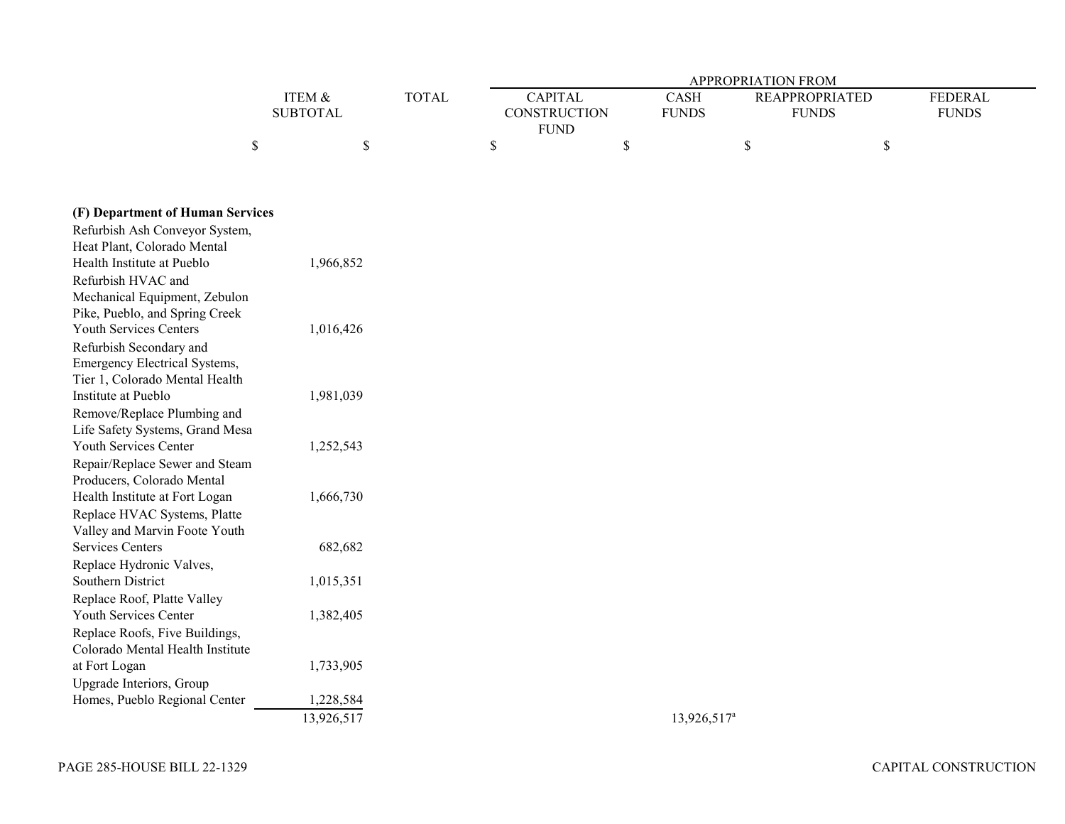|                 |              |              |       | <b>APPROPRIATION FROM</b> |                |
|-----------------|--------------|--------------|-------|---------------------------|----------------|
| 'TEM &          | <b>TOTAL</b> | CAPITAL      | CASH  | <b>REAPPROPRIATED</b>     | <b>FEDERAL</b> |
| <b>SUBTOTAL</b> |              | CONSTRUCTION | FUNDS | <b>FUNDS</b>              | FUNDS          |
|                 |              | <b>FUND</b>  |       |                           |                |
|                 |              |              |       |                           |                |

# **(F) Department of Human Services**

| Refurbish Ash Conveyor System,   |            |                         |
|----------------------------------|------------|-------------------------|
| Heat Plant, Colorado Mental      |            |                         |
| Health Institute at Pueblo       | 1,966,852  |                         |
| Refurbish HVAC and               |            |                         |
| Mechanical Equipment, Zebulon    |            |                         |
| Pike, Pueblo, and Spring Creek   |            |                         |
| <b>Youth Services Centers</b>    | 1,016,426  |                         |
| Refurbish Secondary and          |            |                         |
| Emergency Electrical Systems,    |            |                         |
| Tier 1, Colorado Mental Health   |            |                         |
| Institute at Pueblo              | 1,981,039  |                         |
| Remove/Replace Plumbing and      |            |                         |
| Life Safety Systems, Grand Mesa  |            |                         |
| Youth Services Center            | 1,252,543  |                         |
| Repair/Replace Sewer and Steam   |            |                         |
| Producers, Colorado Mental       |            |                         |
| Health Institute at Fort Logan   | 1,666,730  |                         |
| Replace HVAC Systems, Platte     |            |                         |
| Valley and Marvin Foote Youth    |            |                         |
| <b>Services Centers</b>          | 682,682    |                         |
| Replace Hydronic Valves,         |            |                         |
| Southern District                | 1,015,351  |                         |
| Replace Roof, Platte Valley      |            |                         |
| Youth Services Center            | 1,382,405  |                         |
| Replace Roofs, Five Buildings,   |            |                         |
| Colorado Mental Health Institute |            |                         |
| at Fort Logan                    | 1,733,905  |                         |
| Upgrade Interiors, Group         |            |                         |
| Homes, Pueblo Regional Center    | 1,228,584  |                         |
|                                  | 13,926,517 | 13,926,517 <sup>a</sup> |
|                                  |            |                         |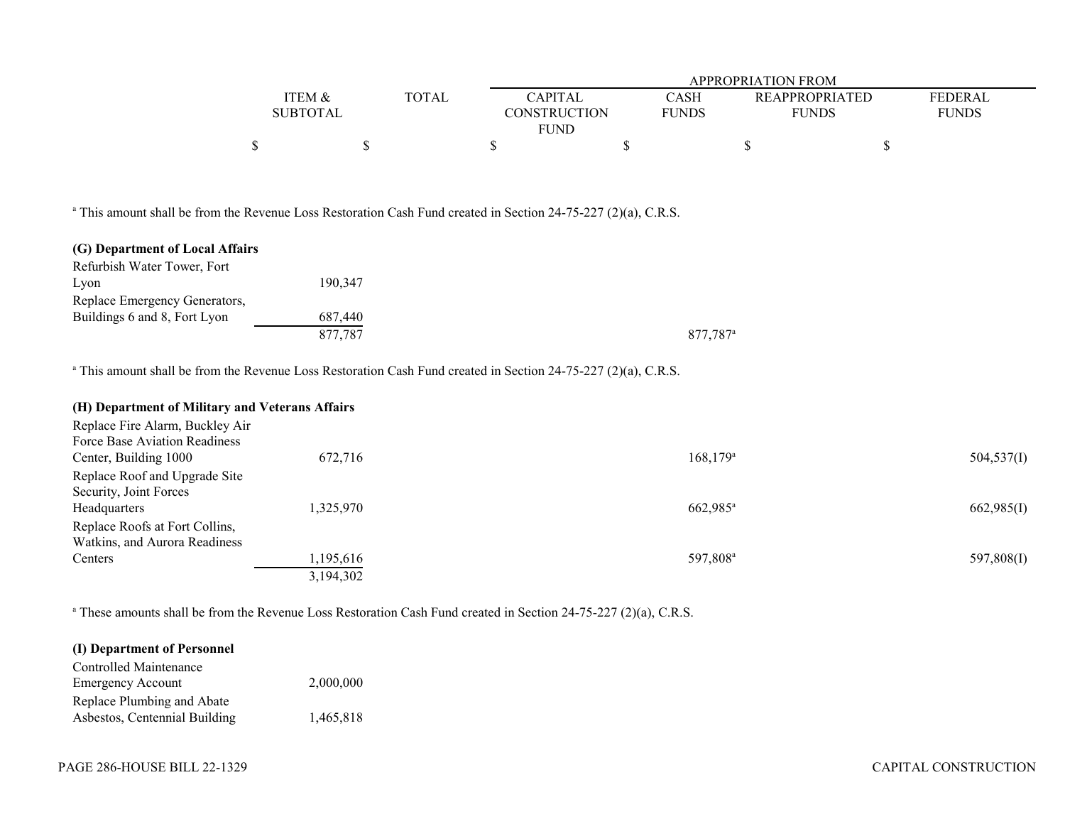|                 |              |              |              | APPROPRIATION FROM    |                |
|-----------------|--------------|--------------|--------------|-----------------------|----------------|
| TEM &           | <b>TOTAL</b> | CAPITAL      | CASH         | <b>REAPPROPRIATED</b> | <b>FEDERAL</b> |
| <b>SUBTOTAL</b> |              | CONSTRUCTION | <b>FUNDS</b> | <b>FUNDS</b>          | <b>FUNDS</b>   |
|                 |              | <b>FUND</b>  |              |                       |                |
|                 |              |              |              |                       |                |

| (G) Department of Local Affairs |         |                                                                                                                           |
|---------------------------------|---------|---------------------------------------------------------------------------------------------------------------------------|
| Refurbish Water Tower, Fort     |         |                                                                                                                           |
| Lyon                            | 190,347 |                                                                                                                           |
| Replace Emergency Generators,   |         |                                                                                                                           |
| Buildings 6 and 8, Fort Lyon    | 687,440 |                                                                                                                           |
|                                 | 877,787 | 877.787 <sup>a</sup>                                                                                                      |
|                                 |         |                                                                                                                           |
|                                 |         | <sup>a</sup> This amount shall be from the Revenue Loss Restoration Cash Fund created in Section 24-75-227 (2)(a), C.R.S. |

#### **(H) Department of Military and Veterans Affairs**

| Replace Fire Alarm, Buckley Air |           |                        |            |
|---------------------------------|-----------|------------------------|------------|
| Force Base Aviation Readiness   |           |                        |            |
| Center, Building 1000           | 672,716   | $168,179^{\circ}$      | 504,537(I) |
| Replace Roof and Upgrade Site   |           |                        |            |
| Security, Joint Forces          |           |                        |            |
| Headquarters                    | 1,325,970 | $662.985$ <sup>a</sup> | 662,985(I) |
| Replace Roofs at Fort Collins,  |           |                        |            |
| Watkins, and Aurora Readiness   |           |                        |            |
| Centers                         | 1,195,616 | 597.808 <sup>a</sup>   | 597,808(I) |
|                                 | 3,194,302 |                        |            |

<sup>a</sup> These amounts shall be from the Revenue Loss Restoration Cash Fund created in Section 24-75-227 (2)(a), C.R.S.

#### **(I) Department of Personnel** Controlled MaintenanceEmergency Account 2,000,000

|                               | $-$ , $       -$ |
|-------------------------------|------------------|
| Replace Plumbing and Abate    |                  |
| Asbestos, Centennial Building | 1,465,818        |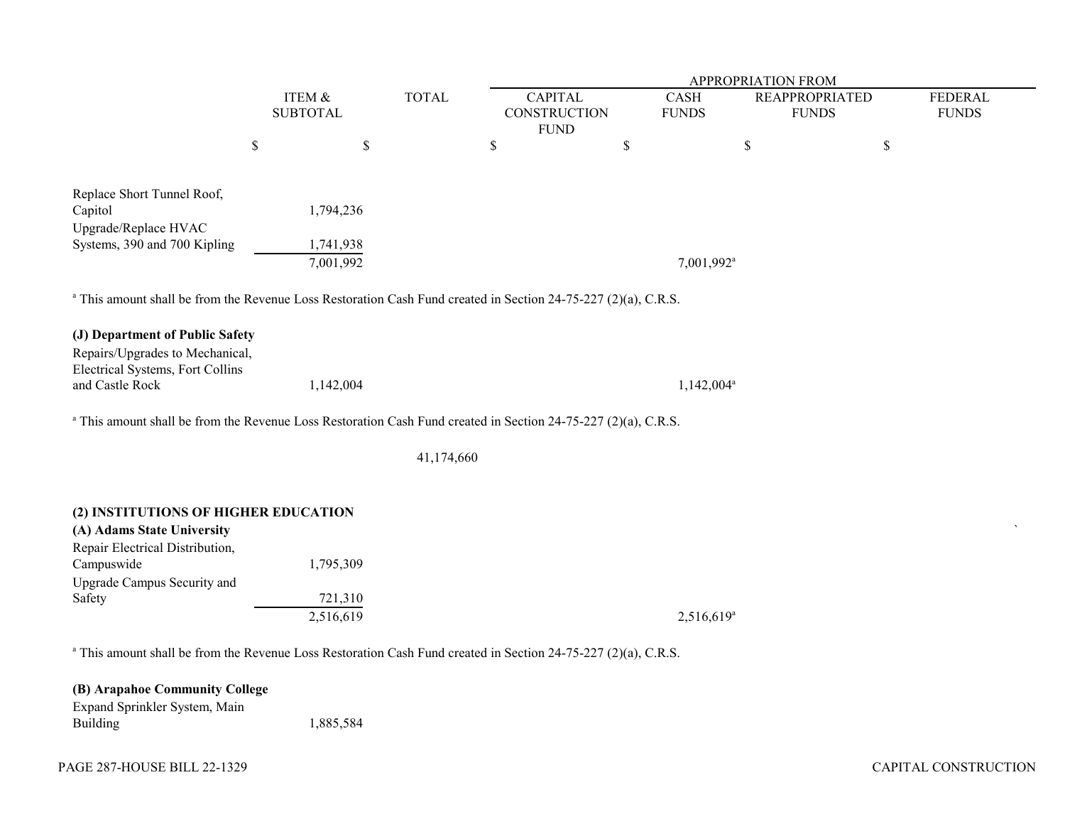|                                                                                                                           |                 |           |              |                                    |   |                        | <b>APPROPRIATION FROM</b> |              |
|---------------------------------------------------------------------------------------------------------------------------|-----------------|-----------|--------------|------------------------------------|---|------------------------|---------------------------|--------------|
|                                                                                                                           | ITEM &          |           | <b>TOTAL</b> | <b>CAPITAL</b>                     |   | CASH                   | <b>REAPPROPRIATED</b>     | FEDERAL      |
|                                                                                                                           | <b>SUBTOTAL</b> |           |              | <b>CONSTRUCTION</b><br><b>FUND</b> |   | <b>FUNDS</b>           | <b>FUNDS</b>              | <b>FUNDS</b> |
|                                                                                                                           | \$              | \$        |              | \$                                 | D |                        | ъ                         | \$           |
| Replace Short Tunnel Roof,                                                                                                |                 |           |              |                                    |   |                        |                           |              |
| Capitol<br>Upgrade/Replace HVAC                                                                                           |                 | 1,794,236 |              |                                    |   |                        |                           |              |
| Systems, 390 and 700 Kipling                                                                                              |                 | 1,741,938 |              |                                    |   |                        |                           |              |
|                                                                                                                           |                 | 7,001,992 |              |                                    |   | 7,001,992 <sup>a</sup> |                           |              |
| <sup>a</sup> This amount shall be from the Revenue Loss Restoration Cash Fund created in Section 24-75-227 (2)(a), C.R.S. |                 |           |              |                                    |   |                        |                           |              |
| (D) Donortmant of Dublic Rofety                                                                                           |                 |           |              |                                    |   |                        |                           |              |

| (9) Department of I upite Safety |           |                     |
|----------------------------------|-----------|---------------------|
| Repairs/Upgrades to Mechanical,  |           |                     |
| Electrical Systems, Fort Collins |           |                     |
| and Castle Rock                  | 1.142.004 | $1.142.004^{\circ}$ |

41,174,660

## **(2) INSTITUTIONS OF HIGHER EDUCATION**

| (A) Adams State University      |           |               |
|---------------------------------|-----------|---------------|
| Repair Electrical Distribution, |           |               |
| Campuswide                      | ,795,309  |               |
| Upgrade Campus Security and     |           |               |
| Safety                          | 721,310   |               |
|                                 | 2,516,619 | $2,516,619^a$ |

| (B) Arapahoe Community College |           |
|--------------------------------|-----------|
| Expand Sprinkler System, Main  |           |
| <b>Building</b>                | 1,885,584 |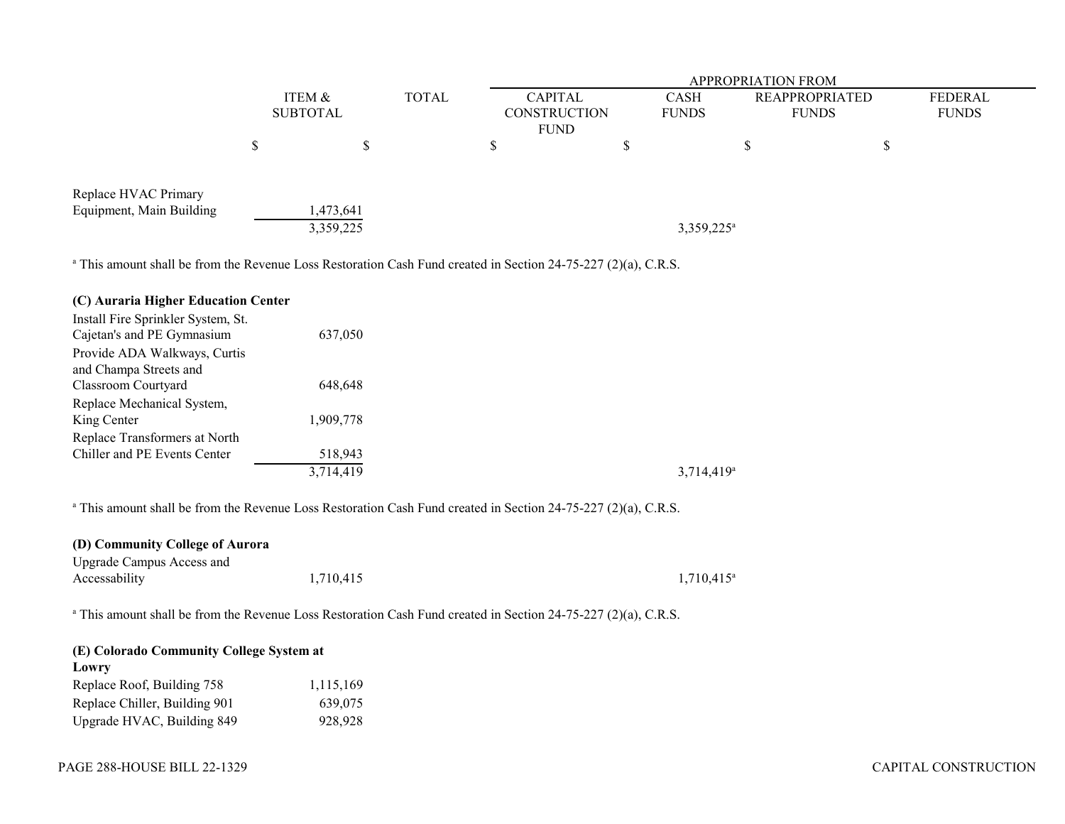|                          |                 |           |       |              |                     | <b>APPROPRIATION FROM</b> |              |
|--------------------------|-----------------|-----------|-------|--------------|---------------------|---------------------------|--------------|
|                          | ITEM &          |           | TOTAL | CAPITAL      | <b>CASH</b>         | <b>REAPPROPRIATED</b>     | FEDERAL      |
|                          | <b>SUBTOTAL</b> |           |       | CONSTRUCTION | <b>FUNDS</b>        | <b>FUNDS</b>              | <b>FUNDS</b> |
|                          |                 |           |       | <b>FUND</b>  |                     |                           |              |
|                          | S               |           |       | D            |                     |                           |              |
|                          |                 |           |       |              |                     |                           |              |
| Replace HVAC Primary     |                 |           |       |              |                     |                           |              |
| Equipment, Main Building |                 | 1,473,641 |       |              |                     |                           |              |
|                          |                 | 3,359,225 |       |              | $3,359,225^{\circ}$ |                           |              |

| (C) Auraria Higher Education Center |           |
|-------------------------------------|-----------|
| Install Fire Sprinkler System, St.  |           |
| Cajetan's and PE Gymnasium          | 637,050   |
| Provide ADA Walkways, Curtis        |           |
| and Champa Streets and              |           |
| Classroom Courtyard                 | 648,648   |
| Replace Mechanical System,          |           |
| King Center                         | 1,909,778 |
| Replace Transformers at North       |           |
| Chiller and PE Events Center        | 518,943   |
|                                     | 3.714.419 |

<sup>a</sup> This amount shall be from the Revenue Loss Restoration Cash Fund created in Section 24-75-227 (2)(a), C.R.S.

| (D) Community College of Aurora |           |                     |
|---------------------------------|-----------|---------------------|
| Upgrade Campus Access and       |           |                     |
| Accessability                   | 1.710.415 | $1.710.415^{\circ}$ |

<sup>a</sup> This amount shall be from the Revenue Loss Restoration Cash Fund created in Section 24-75-227 (2)(a), C.R.S.

## **(E) Colorado Community College System at**

| Lowry                         |  |           |
|-------------------------------|--|-----------|
| Replace Roof, Building 758    |  | 1,115,169 |
| Replace Chiller, Building 901 |  | 639,075   |
| Upgrade HVAC, Building 849    |  | 928,928   |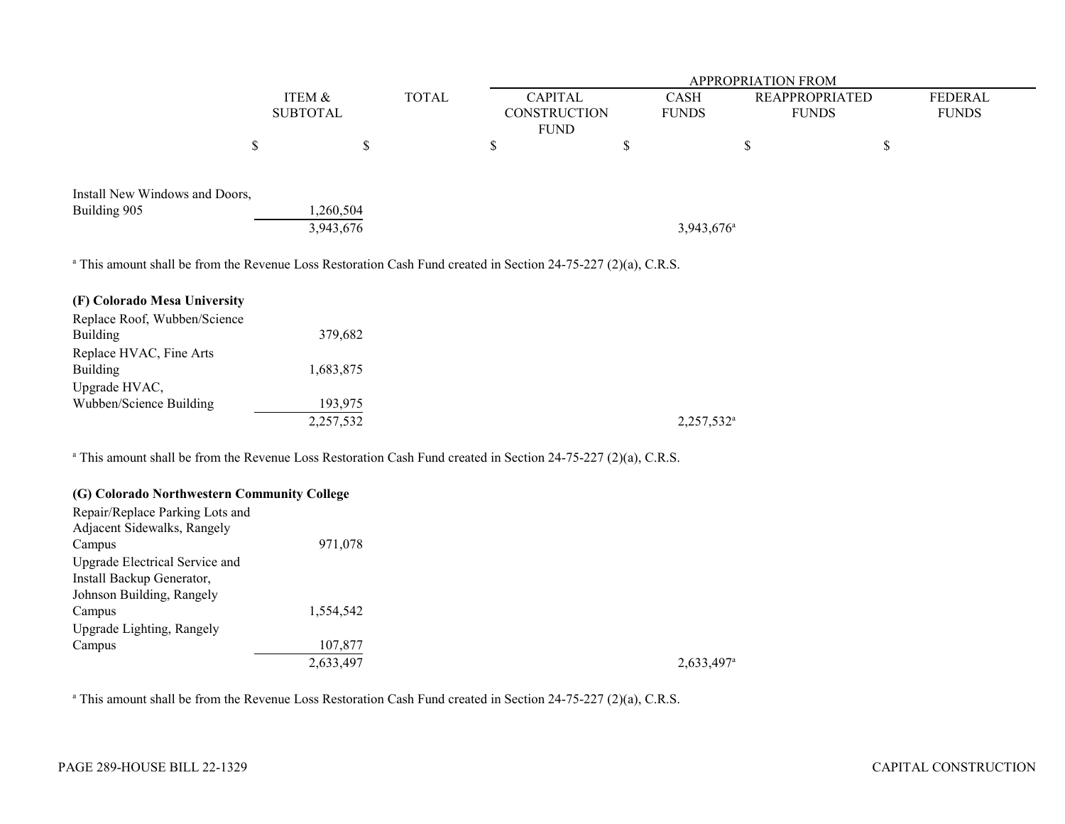|                                |                 |              |                     |                     | <b>APPROPRIATION FROM</b> |              |
|--------------------------------|-----------------|--------------|---------------------|---------------------|---------------------------|--------------|
|                                | ITEM &          | <b>TOTAL</b> | <b>CAPITAL</b>      | <b>CASH</b>         | <b>REAPPROPRIATED</b>     | FEDERAL      |
|                                | <b>SUBTOTAL</b> |              | <b>CONSTRUCTION</b> | <b>FUNDS</b>        | <b>FUNDS</b>              | <b>FUNDS</b> |
|                                |                 |              | <b>FUND</b>         |                     |                           |              |
|                                |                 |              | - J.D               |                     | S                         |              |
|                                |                 |              |                     |                     |                           |              |
| Install New Windows and Doors, |                 |              |                     |                     |                           |              |
| Building 905                   | 1,260,504       |              |                     |                     |                           |              |
|                                | 3,943,676       |              |                     | $3,943,676^{\circ}$ |                           |              |
|                                |                 |              |                     |                     |                           |              |

| 379,682   |
|-----------|
|           |
| 1,683,875 |
|           |
| 193,975   |
| 2,257,532 |
|           |

<sup>a</sup> This amount shall be from the Revenue Loss Restoration Cash Fund created in Section 24-75-227 (2)(a), C.R.S.

## **(G) Colorado Northwestern Community College**

| Repair/Replace Parking Lots and |           |                          |
|---------------------------------|-----------|--------------------------|
| Adjacent Sidewalks, Rangely     |           |                          |
| Campus                          | 971,078   |                          |
| Upgrade Electrical Service and  |           |                          |
| Install Backup Generator,       |           |                          |
| Johnson Building, Rangely       |           |                          |
| Campus                          | 1.554.542 |                          |
| Upgrade Lighting, Rangely       |           |                          |
| Campus                          | 107,877   |                          |
|                                 | 2,633,497 | $2,633,497$ <sup>a</sup> |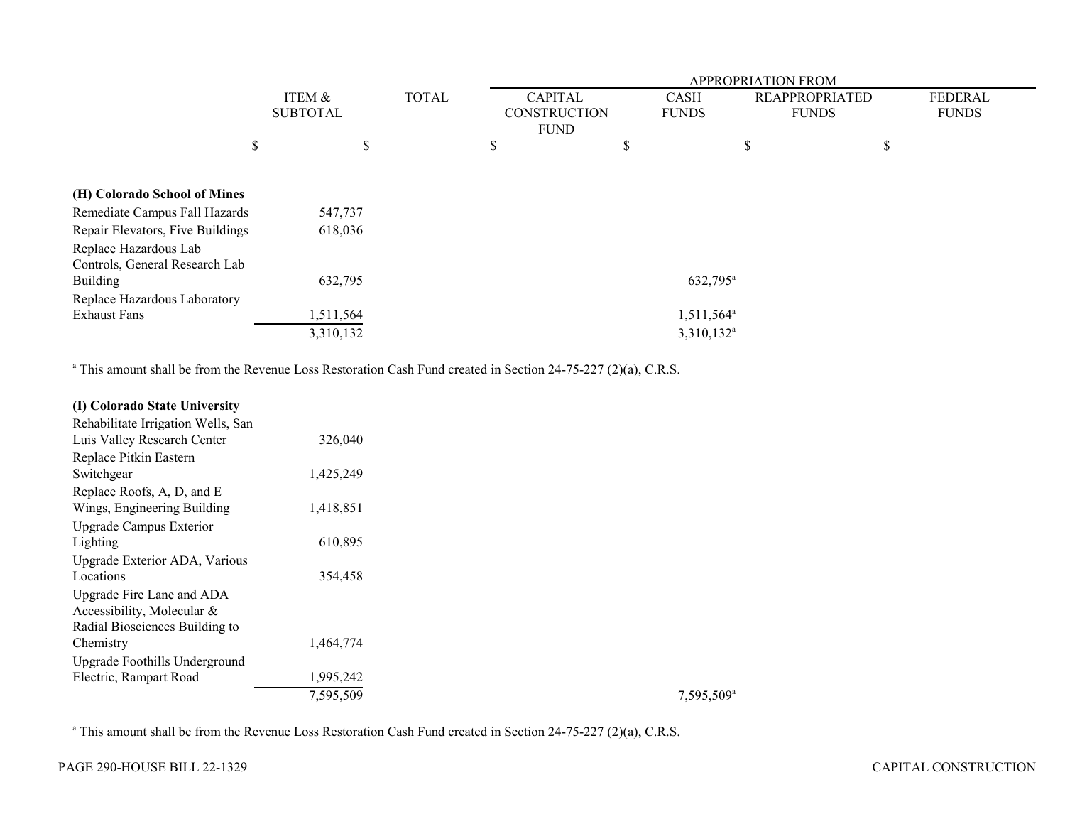|                                  |                 |              |                     |    |                          | <b>APPROPRIATION FROM</b> |                |
|----------------------------------|-----------------|--------------|---------------------|----|--------------------------|---------------------------|----------------|
|                                  | ITEM &          | <b>TOTAL</b> | <b>CAPITAL</b>      |    | <b>CASH</b>              | <b>REAPPROPRIATED</b>     | <b>FEDERAL</b> |
|                                  | <b>SUBTOTAL</b> |              | <b>CONSTRUCTION</b> |    | <b>FUNDS</b>             | <b>FUNDS</b>              | <b>FUNDS</b>   |
|                                  |                 |              | <b>FUND</b>         |    |                          |                           |                |
| \$                               | S               |              | \$                  | ъD | \$                       |                           | \$             |
|                                  |                 |              |                     |    |                          |                           |                |
| (H) Colorado School of Mines     |                 |              |                     |    |                          |                           |                |
| Remediate Campus Fall Hazards    | 547,737         |              |                     |    |                          |                           |                |
| Repair Elevators, Five Buildings | 618,036         |              |                     |    |                          |                           |                |
| Replace Hazardous Lab            |                 |              |                     |    |                          |                           |                |
| Controls, General Research Lab   |                 |              |                     |    |                          |                           |                |
| <b>Building</b>                  | 632,795         |              |                     |    | $632,795^{\circ}$        |                           |                |
| Replace Hazardous Laboratory     |                 |              |                     |    |                          |                           |                |
| <b>Exhaust Fans</b>              | 1,511,564       |              |                     |    | $1,511,564$ <sup>a</sup> |                           |                |
|                                  | 3,310,132       |              |                     |    | $3,310,132$ <sup>a</sup> |                           |                |

| (I) Colorado State University      |           |
|------------------------------------|-----------|
| Rehabilitate Irrigation Wells, San |           |
| Luis Valley Research Center        | 326,040   |
| Replace Pitkin Eastern             |           |
| Switchgear                         | 1,425,249 |
| Replace Roofs, A, D, and E         |           |
| Wings, Engineering Building        | 1,418,851 |
| <b>Upgrade Campus Exterior</b>     |           |
| Lighting                           | 610,895   |
| Upgrade Exterior ADA, Various      |           |
| Locations                          | 354,458   |
| Upgrade Fire Lane and ADA          |           |
| Accessibility, Molecular &         |           |
| Radial Biosciences Building to     |           |
| Chemistry                          | 1,464,774 |
| Upgrade Foothills Underground      |           |
| Electric, Rampart Road             | 1,995,242 |
|                                    | 7,595,509 |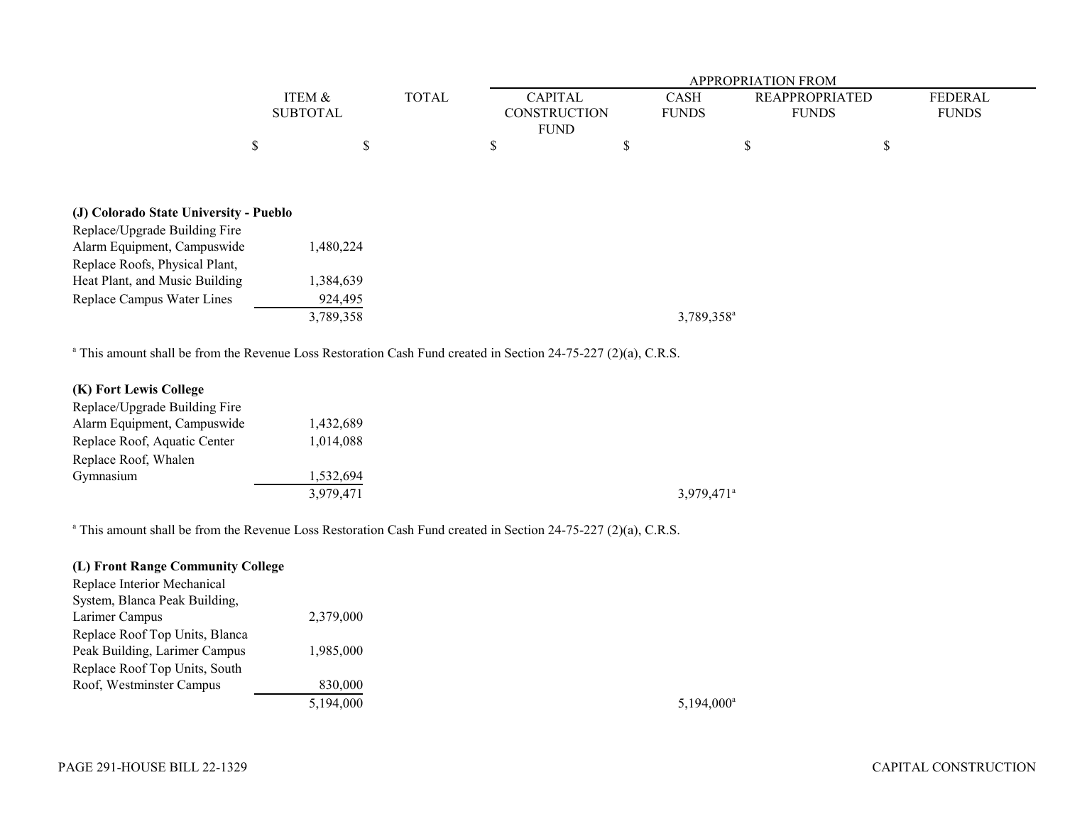|                                        |                 |              |                     |              | APPROPRIATION FROM     |                       |                |
|----------------------------------------|-----------------|--------------|---------------------|--------------|------------------------|-----------------------|----------------|
|                                        | ITEM &          | <b>TOTAL</b> | <b>CAPITAL</b>      | <b>CASH</b>  |                        | <b>REAPPROPRIATED</b> | <b>FEDERAL</b> |
|                                        | <b>SUBTOTAL</b> |              | <b>CONSTRUCTION</b> | <b>FUNDS</b> |                        | <b>FUNDS</b>          | <b>FUNDS</b>   |
|                                        |                 |              | <b>FUND</b>         |              |                        |                       |                |
| D                                      | S               |              | \$                  | ۰D           | \$                     | <sup>\$</sup>         |                |
|                                        |                 |              |                     |              |                        |                       |                |
|                                        |                 |              |                     |              |                        |                       |                |
| (J) Colorado State University - Pueblo |                 |              |                     |              |                        |                       |                |
| Replace/Upgrade Building Fire          |                 |              |                     |              |                        |                       |                |
| Alarm Equipment, Campuswide            | 480,224         |              |                     |              |                        |                       |                |
| Replace Roofs, Physical Plant,         |                 |              |                     |              |                        |                       |                |
| Heat Plant, and Music Building         | 1,384,639       |              |                     |              |                        |                       |                |
| Replace Campus Water Lines             | 924,495         |              |                     |              |                        |                       |                |
|                                        | 3,789,358       |              |                     |              | 3,789,358 <sup>a</sup> |                       |                |

| 1,432,689 |                     |
|-----------|---------------------|
| 1,014,088 |                     |
|           |                     |
| 1,532,694 |                     |
| 3,979,471 | $3.979.471^{\circ}$ |
|           |                     |

<sup>a</sup> This amount shall be from the Revenue Loss Restoration Cash Fund created in Section 24-75-227 (2)(a), C.R.S.

| (L) Front Range Community College |           |
|-----------------------------------|-----------|
| Replace Interior Mechanical       |           |
| System, Blanca Peak Building,     |           |
| Larimer Campus                    | 2,379,000 |
| Replace Roof Top Units, Blanca    |           |
| Peak Building, Larimer Campus     | 1.985,000 |
| Replace Roof Top Units, South     |           |
| Roof, Westminster Campus          | 830,000   |
|                                   | 5,194,000 |
|                                   |           |

 $5,194,000^{\circ}$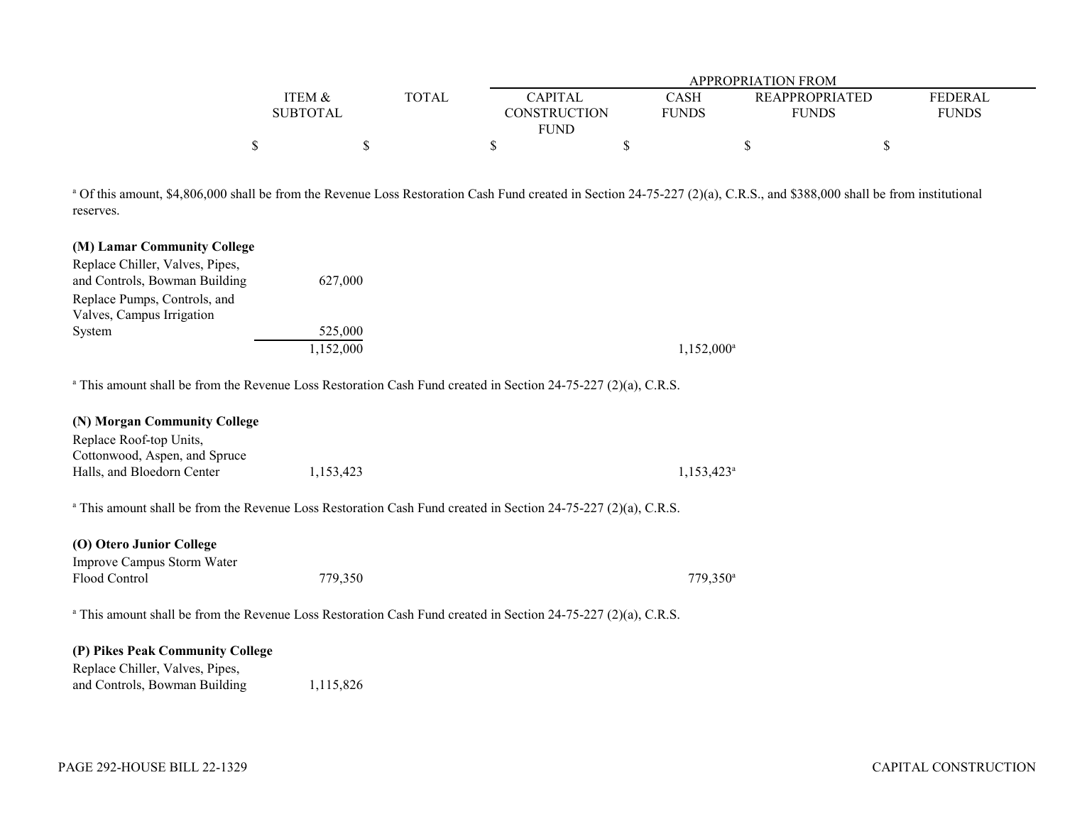|                 |       |              |              | APPROPRIATION FROM    |              |
|-----------------|-------|--------------|--------------|-----------------------|--------------|
| ITEM &          | TOTAL | CAPITAL      | <b>CASH</b>  | <b>REAPPROPRIATED</b> | FEDERAL      |
| <b>SUBTOTAL</b> |       | CONSTRUCTION | <b>FUNDS</b> | <b>FUNDS</b>          | <b>FUNDS</b> |
|                 |       | <b>FUND</b>  |              |                       |              |
|                 |       |              |              |                       |              |

<sup>a</sup> Of this amount, \$4,806,000 shall be from the Revenue Loss Restoration Cash Fund created in Section 24-75-227 (2)(a), C.R.S., and \$388,000 shall be from institutional reserves.

| (M) Lamar Community College      |                                                                                                                           |                        |
|----------------------------------|---------------------------------------------------------------------------------------------------------------------------|------------------------|
| Replace Chiller, Valves, Pipes,  |                                                                                                                           |                        |
| and Controls, Bowman Building    | 627,000                                                                                                                   |                        |
| Replace Pumps, Controls, and     |                                                                                                                           |                        |
| Valves, Campus Irrigation        |                                                                                                                           |                        |
| System                           | 525,000                                                                                                                   |                        |
|                                  | 1,152,000                                                                                                                 | 1,152,000 <sup>a</sup> |
|                                  | <sup>a</sup> This amount shall be from the Revenue Loss Restoration Cash Fund created in Section 24-75-227 (2)(a), C.R.S. |                        |
| (N) Morgan Community College     |                                                                                                                           |                        |
| Replace Roof-top Units,          |                                                                                                                           |                        |
| Cottonwood, Aspen, and Spruce    |                                                                                                                           |                        |
| Halls, and Bloedorn Center       | 1,153,423                                                                                                                 | $1,153,423^{\circ}$    |
|                                  | <sup>a</sup> This amount shall be from the Revenue Loss Restoration Cash Fund created in Section 24-75-227 (2)(a), C.R.S. |                        |
| (O) Otero Junior College         |                                                                                                                           |                        |
| Improve Campus Storm Water       |                                                                                                                           |                        |
| Flood Control                    | 779,350                                                                                                                   | 779,350 <sup>a</sup>   |
|                                  | <sup>a</sup> This amount shall be from the Revenue Loss Restoration Cash Fund created in Section 24-75-227 (2)(a), C.R.S. |                        |
| (P) Pikes Peak Community College |                                                                                                                           |                        |
| Replace Chiller, Valves, Pipes,  |                                                                                                                           |                        |
| and Controls, Bowman Building    | 1,115,826                                                                                                                 |                        |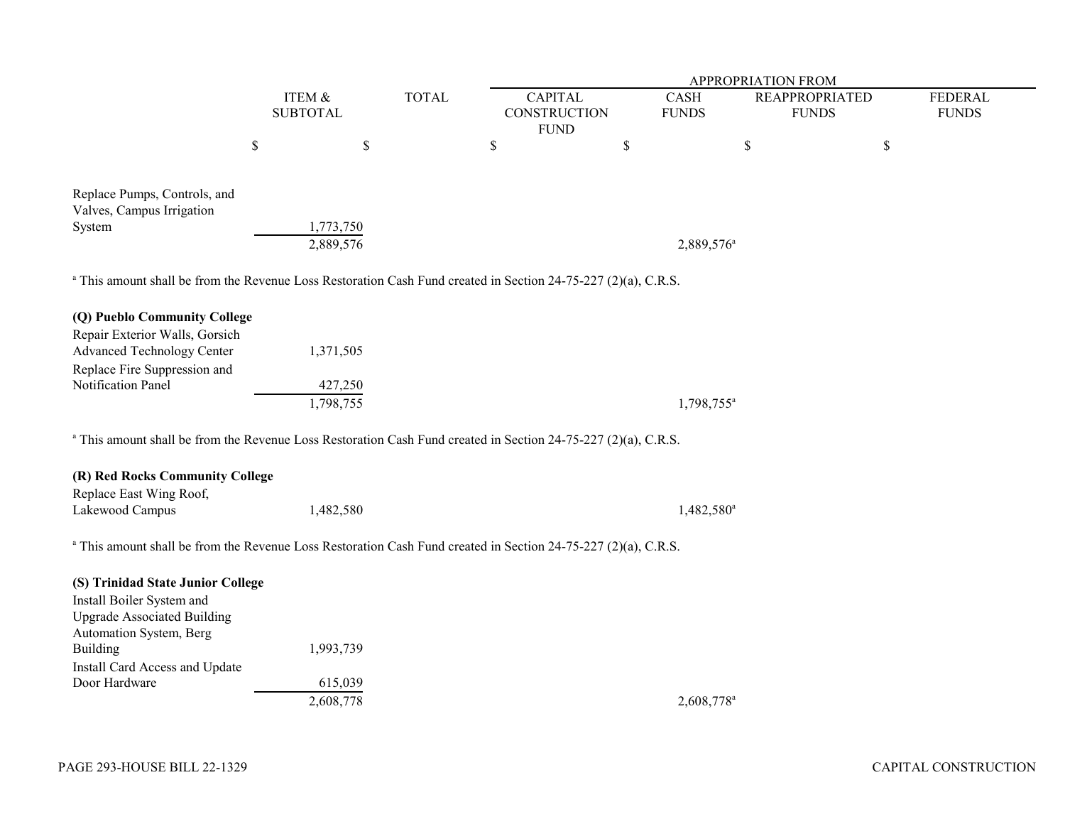|                                                                                                                           |                              |              |                                               |                        | <b>APPROPRIATION FROM</b>             |                                |
|---------------------------------------------------------------------------------------------------------------------------|------------------------------|--------------|-----------------------------------------------|------------------------|---------------------------------------|--------------------------------|
|                                                                                                                           | ITEM $\&$<br><b>SUBTOTAL</b> | <b>TOTAL</b> | <b>CAPITAL</b><br>CONSTRUCTION<br><b>FUND</b> | CASH<br><b>FUNDS</b>   | <b>REAPPROPRIATED</b><br><b>FUNDS</b> | <b>FEDERAL</b><br><b>FUNDS</b> |
|                                                                                                                           | \$<br>\$                     |              | \$                                            | \$                     | $\$$                                  | \$                             |
| Replace Pumps, Controls, and                                                                                              |                              |              |                                               |                        |                                       |                                |
| Valves, Campus Irrigation                                                                                                 |                              |              |                                               |                        |                                       |                                |
| System                                                                                                                    | 1,773,750                    |              |                                               |                        |                                       |                                |
|                                                                                                                           | 2,889,576                    |              |                                               | 2,889,576 <sup>a</sup> |                                       |                                |
| <sup>a</sup> This amount shall be from the Revenue Loss Restoration Cash Fund created in Section 24-75-227 (2)(a), C.R.S. |                              |              |                                               |                        |                                       |                                |
| (Q) Pueblo Community College                                                                                              |                              |              |                                               |                        |                                       |                                |
| Repair Exterior Walls, Gorsich                                                                                            |                              |              |                                               |                        |                                       |                                |
| <b>Advanced Technology Center</b>                                                                                         | 1,371,505                    |              |                                               |                        |                                       |                                |
| Replace Fire Suppression and                                                                                              |                              |              |                                               |                        |                                       |                                |
| Notification Panel                                                                                                        | 427,250                      |              |                                               |                        |                                       |                                |
|                                                                                                                           | 1,798,755                    |              |                                               | $1,798,755^{\circ}$    |                                       |                                |
| <sup>a</sup> This amount shall be from the Revenue Loss Restoration Cash Fund created in Section 24-75-227 (2)(a), C.R.S. |                              |              |                                               |                        |                                       |                                |
| (R) Red Rocks Community College                                                                                           |                              |              |                                               |                        |                                       |                                |
| Replace East Wing Roof,                                                                                                   |                              |              |                                               |                        |                                       |                                |
| Lakewood Campus                                                                                                           | 1,482,580                    |              |                                               | 1,482,580 <sup>a</sup> |                                       |                                |
| <sup>a</sup> This amount shall be from the Revenue Loss Restoration Cash Fund created in Section 24-75-227 (2)(a), C.R.S. |                              |              |                                               |                        |                                       |                                |
| (S) Trinidad State Junior College                                                                                         |                              |              |                                               |                        |                                       |                                |
| Install Boiler System and                                                                                                 |                              |              |                                               |                        |                                       |                                |
| <b>Upgrade Associated Building</b>                                                                                        |                              |              |                                               |                        |                                       |                                |
| Automation System, Berg                                                                                                   |                              |              |                                               |                        |                                       |                                |
| Building                                                                                                                  | 1,993,739                    |              |                                               |                        |                                       |                                |
| Install Card Access and Update                                                                                            |                              |              |                                               |                        |                                       |                                |
| Door Hardware                                                                                                             | 615,039                      |              |                                               |                        |                                       |                                |
|                                                                                                                           | 2,608,778                    |              |                                               | 2,608,778 <sup>a</sup> |                                       |                                |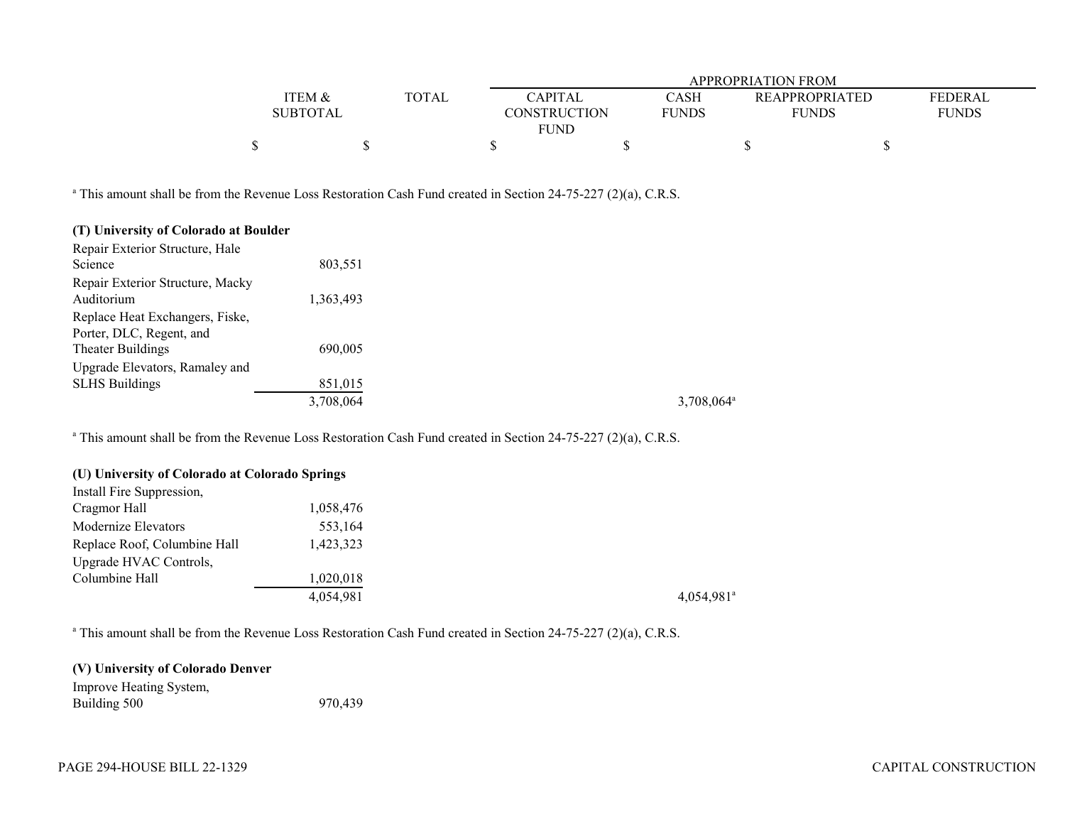|                  |              |              |       | APPROPRIATION FROM    |                |  |
|------------------|--------------|--------------|-------|-----------------------|----------------|--|
| <b>TEM &amp;</b> | <b>TOTAL</b> | CAPITAL      | CASH  | <b>REAPPROPRIATED</b> | <b>FEDERAL</b> |  |
| <b>SUBTOTAL</b>  |              | CONSTRUCTION | FUNDS | <b>FUNDS</b>          | <b>FUNDS</b>   |  |
|                  |              | <b>FUND</b>  |       |                       |                |  |
|                  |              |              |       |                       |                |  |

| (T) University of Colorado at Boulder |           |
|---------------------------------------|-----------|
| Repair Exterior Structure, Hale       |           |
| Science                               | 803,551   |
| Repair Exterior Structure, Macky      |           |
| Auditorium                            | 1,363,493 |
| Replace Heat Exchangers, Fiske,       |           |
| Porter, DLC, Regent, and              |           |
| Theater Buildings                     | 690,005   |
| Upgrade Elevators, Ramaley and        |           |
| <b>SLHS Buildings</b>                 | 851,015   |
|                                       | 3,708,064 |

<sup>a</sup> This amount shall be from the Revenue Loss Restoration Cash Fund created in Section 24-75-227 (2)(a), C.R.S.

#### **(U) University of Colorado at Colorado Springs**

| Install Fire Suppression,    |           |                          |
|------------------------------|-----------|--------------------------|
| Cragmor Hall                 | 1,058,476 |                          |
| Modernize Elevators          | 553,164   |                          |
| Replace Roof, Columbine Hall | 1,423,323 |                          |
| Upgrade HVAC Controls,       |           |                          |
| Columbine Hall               | 1,020,018 |                          |
|                              | 4,054,981 | $4,054,981$ <sup>a</sup> |

<sup>a</sup> This amount shall be from the Revenue Loss Restoration Cash Fund created in Section 24-75-227 (2)(a), C.R.S.

#### **(V) University of Colorado Denver**

Improve Heating System, Building 500 970,439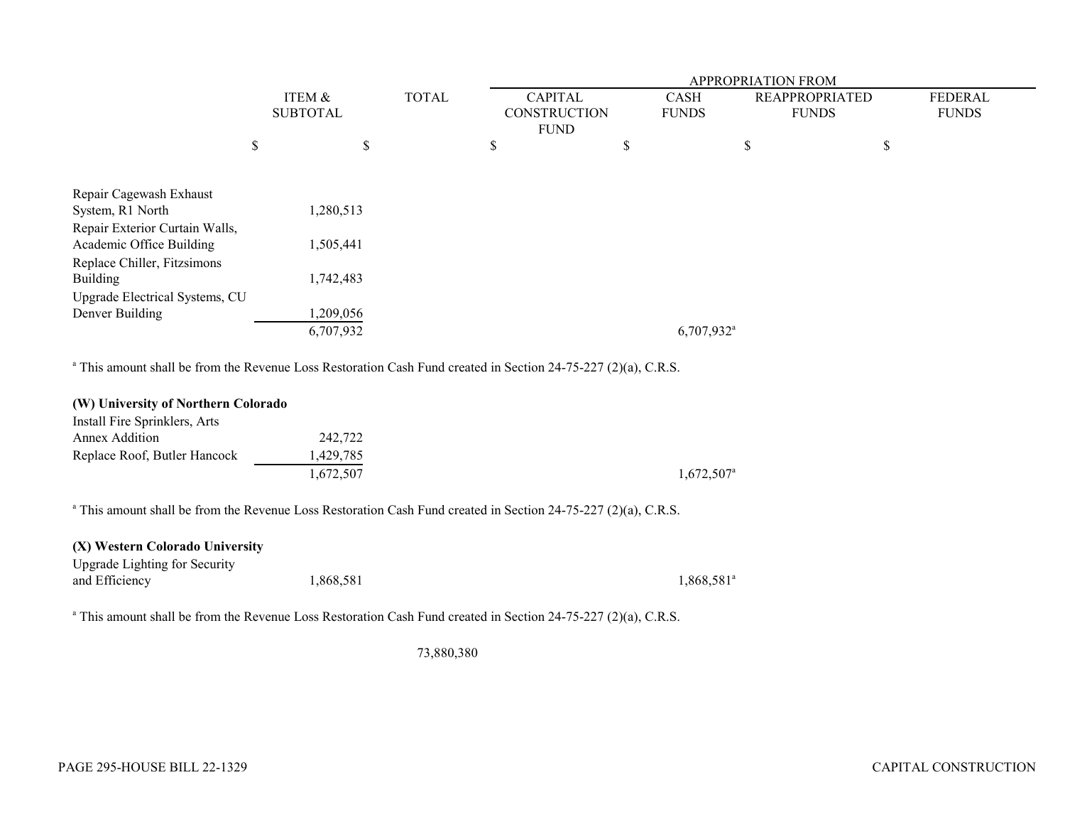|                 |              | <b>APPROPRIATION FROM</b> |   |                        |                       |                |  |
|-----------------|--------------|---------------------------|---|------------------------|-----------------------|----------------|--|
| ITEM &          | <b>TOTAL</b> | <b>CAPITAL</b>            |   |                        | <b>REAPPROPRIATED</b> | <b>FEDERAL</b> |  |
| <b>SUBTOTAL</b> |              | <b>CONSTRUCTION</b>       |   |                        | <b>FUNDS</b>          | <b>FUNDS</b>   |  |
|                 |              | <b>FUND</b>               |   |                        |                       |                |  |
| \$              |              | \$                        | D |                        |                       | Φ<br>P         |  |
|                 |              |                           |   |                        |                       |                |  |
|                 |              |                           |   |                        |                       |                |  |
| 1,280,513       |              |                           |   |                        |                       |                |  |
|                 |              |                           |   |                        |                       |                |  |
| 1,505,441       |              |                           |   |                        |                       |                |  |
|                 |              |                           |   |                        |                       |                |  |
| 1,742,483       |              |                           |   |                        |                       |                |  |
|                 |              |                           |   |                        |                       |                |  |
| ,209,056        |              |                           |   |                        |                       |                |  |
| 6,707,932       |              |                           |   | 6,707,932 <sup>a</sup> |                       |                |  |
|                 |              |                           |   |                        | CASH<br><b>FUNDS</b>  | \$             |  |

| (W) University of Northern Colorado |           |                          |
|-------------------------------------|-----------|--------------------------|
| Install Fire Sprinklers, Arts       |           |                          |
| Annex Addition                      | 242,722   |                          |
| Replace Roof, Butler Hancock        | 1,429,785 |                          |
|                                     | 1.672.507 | $1.672.507$ <sup>a</sup> |

<sup>a</sup> This amount shall be from the Revenue Loss Restoration Cash Fund created in Section 24-75-227 (2)(a), C.R.S.

| (X) Western Colorado University |           |                        |
|---------------------------------|-----------|------------------------|
| Upgrade Lighting for Security   |           |                        |
| and Efficiency                  | 1.868.581 | 1.868.581 <sup>a</sup> |

<sup>a</sup> This amount shall be from the Revenue Loss Restoration Cash Fund created in Section 24-75-227 (2)(a), C.R.S.

73,880,380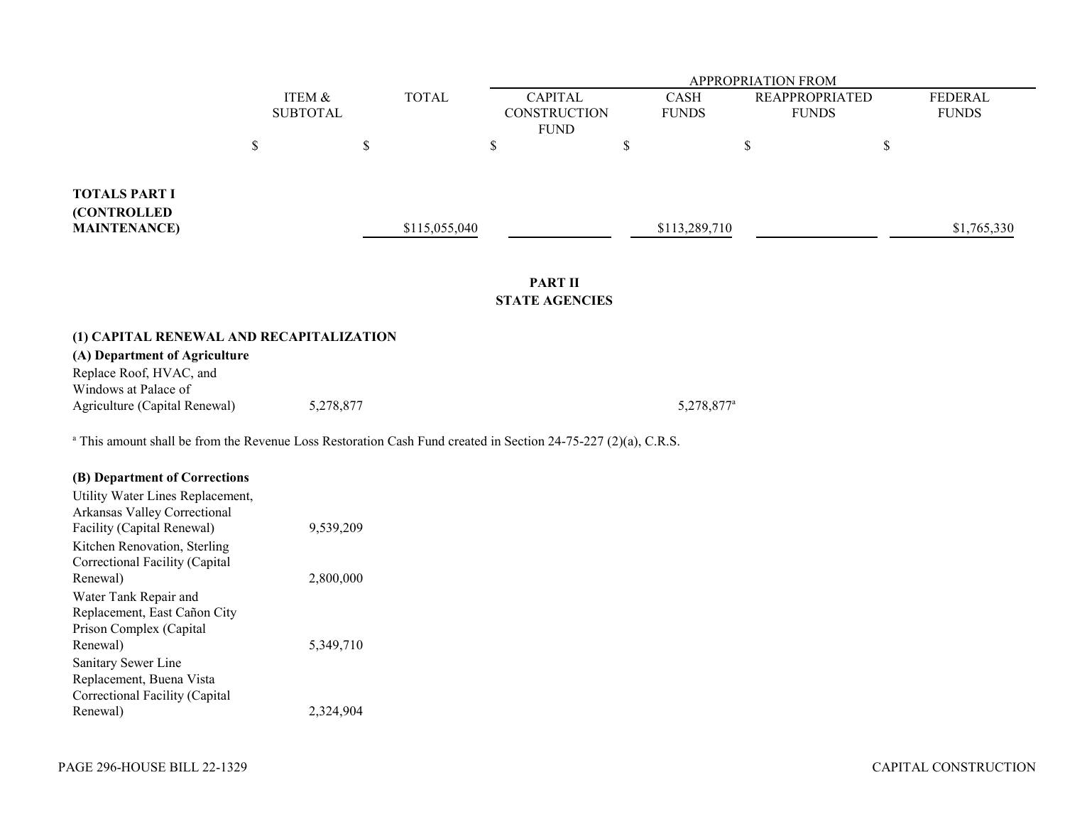|                                                                                                                           |                 |               | <b>APPROPRIATION FROM</b> |                        |                       |                |  |
|---------------------------------------------------------------------------------------------------------------------------|-----------------|---------------|---------------------------|------------------------|-----------------------|----------------|--|
|                                                                                                                           | ITEM &          | <b>TOTAL</b>  | <b>CAPITAL</b>            | <b>CASH</b>            | <b>REAPPROPRIATED</b> | <b>FEDERAL</b> |  |
|                                                                                                                           | <b>SUBTOTAL</b> |               | <b>CONSTRUCTION</b>       | <b>FUNDS</b>           | <b>FUNDS</b>          | <b>FUNDS</b>   |  |
|                                                                                                                           |                 |               | <b>FUND</b>               |                        |                       |                |  |
|                                                                                                                           | $\mathbb S$     | \$            | \$                        | \$                     | \$                    | $\$$           |  |
|                                                                                                                           |                 |               |                           |                        |                       |                |  |
| <b>TOTALS PART I</b>                                                                                                      |                 |               |                           |                        |                       |                |  |
| (CONTROLLED                                                                                                               |                 |               |                           |                        |                       |                |  |
| <b>MAINTENANCE</b> )                                                                                                      |                 | \$115,055,040 |                           | \$113,289,710          |                       | \$1,765,330    |  |
|                                                                                                                           |                 |               |                           |                        |                       |                |  |
|                                                                                                                           |                 |               |                           |                        |                       |                |  |
|                                                                                                                           |                 |               | <b>PART II</b>            |                        |                       |                |  |
|                                                                                                                           |                 |               | <b>STATE AGENCIES</b>     |                        |                       |                |  |
|                                                                                                                           |                 |               |                           |                        |                       |                |  |
| (1) CAPITAL RENEWAL AND RECAPITALIZATION                                                                                  |                 |               |                           |                        |                       |                |  |
| (A) Department of Agriculture<br>Replace Roof, HVAC, and                                                                  |                 |               |                           |                        |                       |                |  |
| Windows at Palace of                                                                                                      |                 |               |                           |                        |                       |                |  |
| Agriculture (Capital Renewal)                                                                                             | 5,278,877       |               |                           | 5,278,877 <sup>a</sup> |                       |                |  |
|                                                                                                                           |                 |               |                           |                        |                       |                |  |
| <sup>a</sup> This amount shall be from the Revenue Loss Restoration Cash Fund created in Section 24-75-227 (2)(a), C.R.S. |                 |               |                           |                        |                       |                |  |
|                                                                                                                           |                 |               |                           |                        |                       |                |  |
| (B) Department of Corrections                                                                                             |                 |               |                           |                        |                       |                |  |

| Utility Water Lines Replacement, |           |
|----------------------------------|-----------|
| Arkansas Valley Correctional     |           |
| Facility (Capital Renewal)       | 9,539,209 |
| Kitchen Renovation, Sterling     |           |
| Correctional Facility (Capital   |           |
| Renewal)                         | 2,800,000 |
| Water Tank Repair and            |           |
| Replacement, East Cañon City     |           |
| Prison Complex (Capital          |           |
| Renewal)                         | 5.349.710 |
| Sanitary Sewer Line              |           |
| Replacement, Buena Vista         |           |
| Correctional Facility (Capital   |           |
| Renewal)                         | 2,324,904 |
|                                  |           |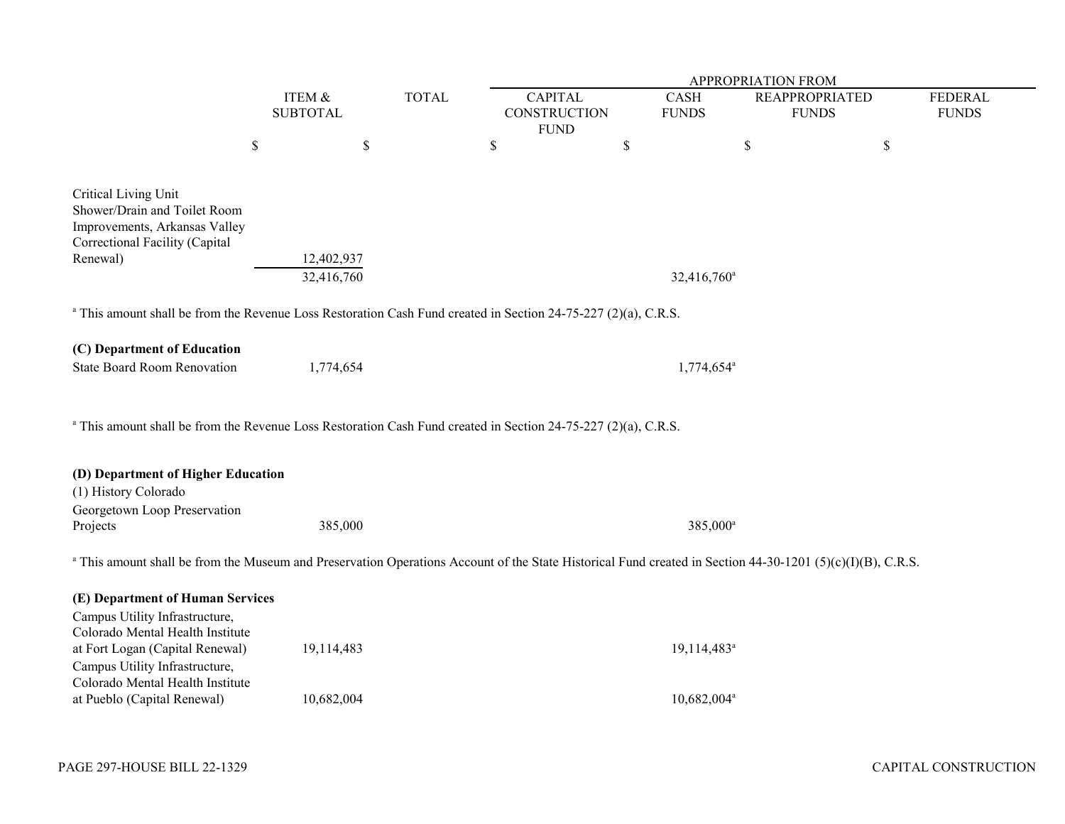|                                                                                                                                                                       |                           |              | APPROPRIATION FROM                            |    |                             |                                       |                                |  |  |
|-----------------------------------------------------------------------------------------------------------------------------------------------------------------------|---------------------------|--------------|-----------------------------------------------|----|-----------------------------|---------------------------------------|--------------------------------|--|--|
|                                                                                                                                                                       | ITEM &<br><b>SUBTOTAL</b> | <b>TOTAL</b> | <b>CAPITAL</b><br>CONSTRUCTION<br><b>FUND</b> |    | <b>CASH</b><br><b>FUNDS</b> | <b>REAPPROPRIATED</b><br><b>FUNDS</b> | <b>FEDERAL</b><br><b>FUNDS</b> |  |  |
| $\boldsymbol{\mathsf{S}}$                                                                                                                                             | \$                        |              | $\$$                                          | \$ |                             | \$                                    | \$                             |  |  |
| Critical Living Unit<br>Shower/Drain and Toilet Room<br>Improvements, Arkansas Valley<br>Correctional Facility (Capital                                               |                           |              |                                               |    |                             |                                       |                                |  |  |
| Renewal)                                                                                                                                                              | 12,402,937<br>32,416,760  |              |                                               |    |                             |                                       |                                |  |  |
|                                                                                                                                                                       |                           |              |                                               |    | 32,416,760 <sup>a</sup>     |                                       |                                |  |  |
| <sup>a</sup> This amount shall be from the Revenue Loss Restoration Cash Fund created in Section 24-75-227 (2)(a), C.R.S.                                             |                           |              |                                               |    |                             |                                       |                                |  |  |
| (C) Department of Education                                                                                                                                           |                           |              |                                               |    |                             |                                       |                                |  |  |
| <b>State Board Room Renovation</b>                                                                                                                                    | 1,774,654                 |              |                                               |    | 1,774,654 <sup>a</sup>      |                                       |                                |  |  |
| <sup>a</sup> This amount shall be from the Revenue Loss Restoration Cash Fund created in Section 24-75-227 (2)(a), C.R.S.                                             |                           |              |                                               |    |                             |                                       |                                |  |  |
| (D) Department of Higher Education                                                                                                                                    |                           |              |                                               |    |                             |                                       |                                |  |  |
| (1) History Colorado<br>Georgetown Loop Preservation                                                                                                                  |                           |              |                                               |    |                             |                                       |                                |  |  |
| Projects                                                                                                                                                              | 385,000                   |              |                                               |    | 385,000 <sup>a</sup>        |                                       |                                |  |  |
| <sup>a</sup> This amount shall be from the Museum and Preservation Operations Account of the State Historical Fund created in Section 44-30-1201 (5)(c)(I)(B), C.R.S. |                           |              |                                               |    |                             |                                       |                                |  |  |
| (E) Department of Human Services                                                                                                                                      |                           |              |                                               |    |                             |                                       |                                |  |  |
| Campus Utility Infrastructure,                                                                                                                                        |                           |              |                                               |    |                             |                                       |                                |  |  |
| Colorado Mental Health Institute                                                                                                                                      |                           |              |                                               |    |                             |                                       |                                |  |  |
| at Fort Logan (Capital Renewal)<br>Campus Utility Infrastructure,                                                                                                     | 19,114,483                |              |                                               |    | 19,114,483 <sup>a</sup>     |                                       |                                |  |  |
| Colorado Mental Health Institute                                                                                                                                      |                           |              |                                               |    |                             |                                       |                                |  |  |
| at Pueblo (Capital Renewal)                                                                                                                                           | 10,682,004                |              |                                               |    | $10,682,004^{\circ}$        |                                       |                                |  |  |
|                                                                                                                                                                       |                           |              |                                               |    |                             |                                       |                                |  |  |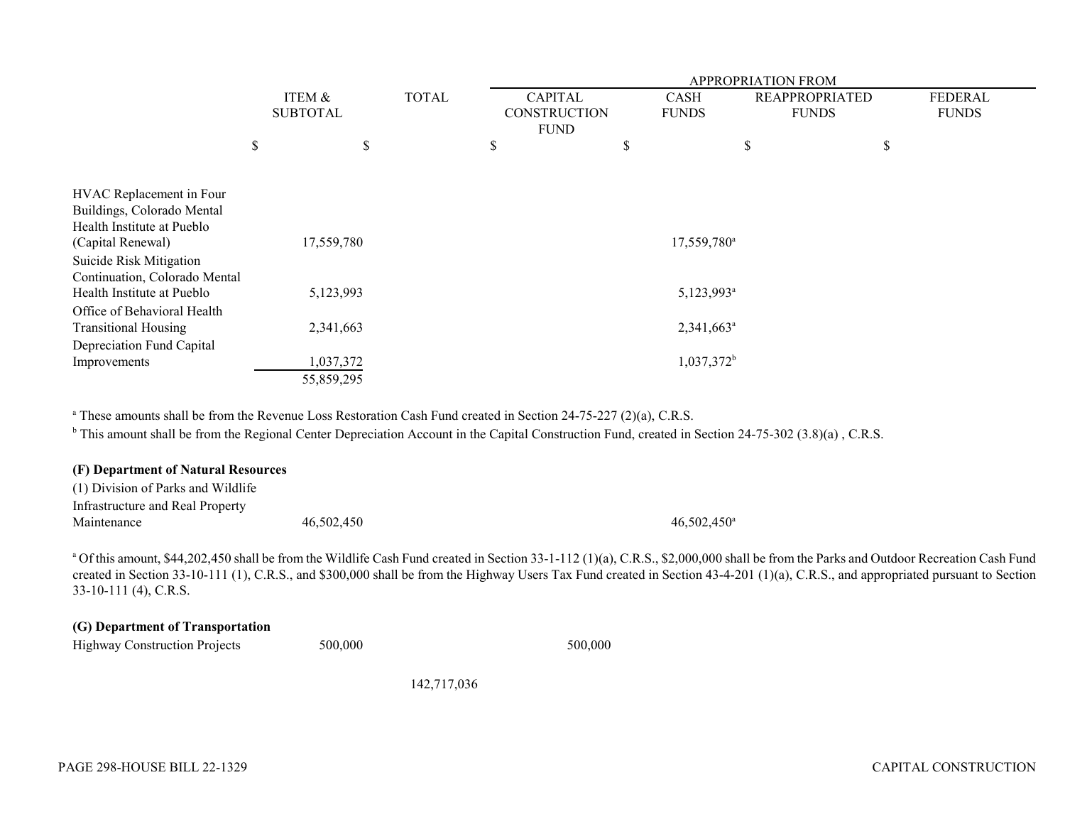|                                                          |                           |              | <b>APPROPRIATION FROM</b>                            |                             |                                       |                                |  |  |
|----------------------------------------------------------|---------------------------|--------------|------------------------------------------------------|-----------------------------|---------------------------------------|--------------------------------|--|--|
|                                                          | ITEM &<br><b>SUBTOTAL</b> | <b>TOTAL</b> | <b>CAPITAL</b><br><b>CONSTRUCTION</b><br><b>FUND</b> | <b>CASH</b><br><b>FUNDS</b> | <b>REAPPROPRIATED</b><br><b>FUNDS</b> | <b>FEDERAL</b><br><b>FUNDS</b> |  |  |
|                                                          | \$<br>\$                  |              | \$                                                   | \$                          | \$                                    | \$                             |  |  |
| HVAC Replacement in Four                                 |                           |              |                                                      |                             |                                       |                                |  |  |
| Buildings, Colorado Mental<br>Health Institute at Pueblo |                           |              |                                                      |                             |                                       |                                |  |  |
| (Capital Renewal)                                        | 17,559,780                |              |                                                      | $17,559,780^{\circ}$        |                                       |                                |  |  |
| Suicide Risk Mitigation                                  |                           |              |                                                      |                             |                                       |                                |  |  |
| Continuation, Colorado Mental                            |                           |              |                                                      |                             |                                       |                                |  |  |
| Health Institute at Pueblo                               | 5,123,993                 |              |                                                      | 5,123,993 <sup>a</sup>      |                                       |                                |  |  |
| Office of Behavioral Health                              |                           |              |                                                      |                             |                                       |                                |  |  |
| <b>Transitional Housing</b>                              | 2,341,663                 |              |                                                      | $2,341,663^a$               |                                       |                                |  |  |
| Depreciation Fund Capital                                |                           |              |                                                      |                             |                                       |                                |  |  |
| Improvements                                             | 1,037,372                 |              |                                                      | $1,037,372^b$               |                                       |                                |  |  |
|                                                          | 55,859,295                |              |                                                      |                             |                                       |                                |  |  |

<sup>b</sup> This amount shall be from the Regional Center Depreciation Account in the Capital Construction Fund, created in Section 24-75-302 (3.8)(a), C.R.S.

#### **(F) Department of Natural Resources**

(1) Division of Parks and Wildlife Infrastructure and Real Property Maintenance  $46,502,450$ 

<sup>a</sup> Of this amount, \$44,202,450 shall be from the Wildlife Cash Fund created in Section 33-1-112 (1)(a), C.R.S., \$2,000,000 shall be from the Parks and Outdoor Recreation Cash Fund created in Section 33-10-111 (1), C.R.S., and \$300,000 shall be from the Highway Users Tax Fund created in Section 43-4-201 (1)(a), C.R.S., and appropriated pursuant to Section 33-10-111 (4), C.R.S.

## **(G) Department of Transportation**

Highway Construction Projects 500,000 500,000

142,717,036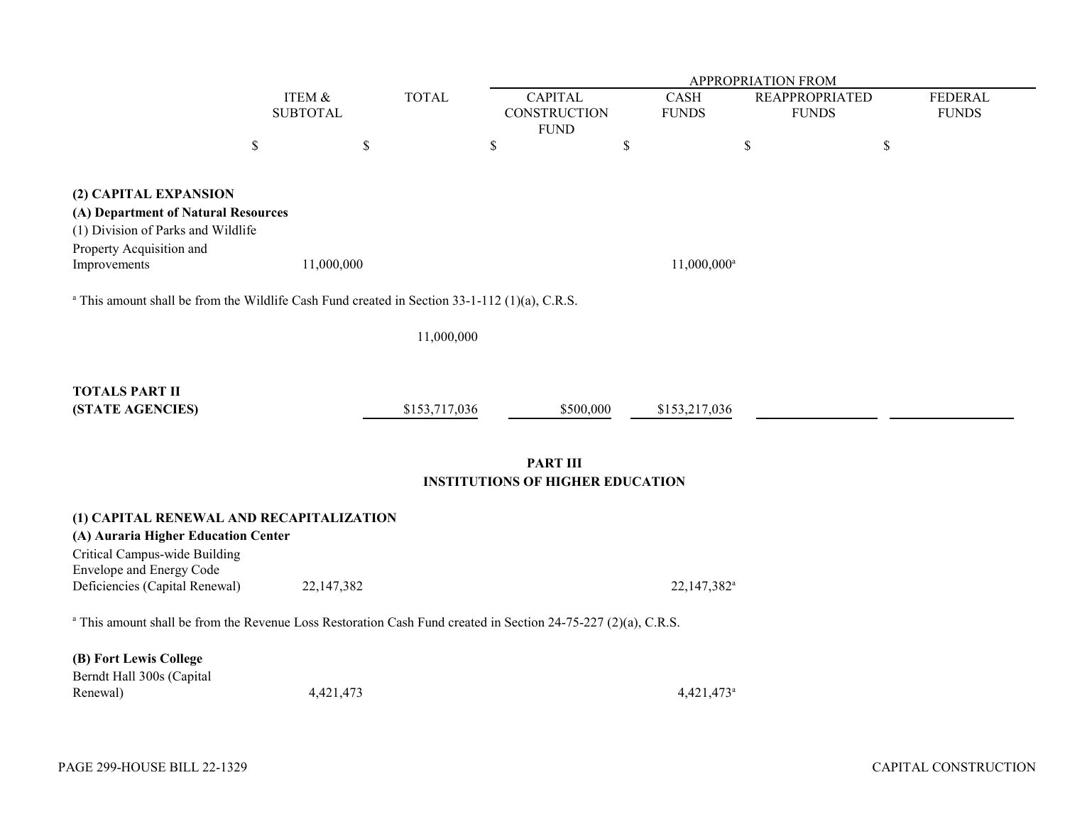|                                                                                                                                                     |                           |            |               |                                         |                                               |                             | APPROPRIATION FROM                    |                                |
|-----------------------------------------------------------------------------------------------------------------------------------------------------|---------------------------|------------|---------------|-----------------------------------------|-----------------------------------------------|-----------------------------|---------------------------------------|--------------------------------|
|                                                                                                                                                     | ITEM &<br><b>SUBTOTAL</b> |            | <b>TOTAL</b>  |                                         | <b>CAPITAL</b><br>CONSTRUCTION<br><b>FUND</b> | <b>CASH</b><br><b>FUNDS</b> | <b>REAPPROPRIATED</b><br><b>FUNDS</b> | <b>FEDERAL</b><br><b>FUNDS</b> |
|                                                                                                                                                     | \$                        | $\$$       |               | $\mathbb S$                             |                                               | \$                          | $\mathbb S$                           | \$                             |
| (2) CAPITAL EXPANSION<br>(A) Department of Natural Resources<br>(1) Division of Parks and Wildlife<br>Property Acquisition and<br>Improvements      |                           | 11,000,000 |               |                                         |                                               | $11,000,000$ <sup>a</sup>   |                                       |                                |
| $\alpha$ This amount shall be from the Wildlife Cash Fund created in Section 33-1-112 (1)(a), C.R.S.                                                |                           |            |               |                                         |                                               |                             |                                       |                                |
|                                                                                                                                                     |                           |            | 11,000,000    |                                         |                                               |                             |                                       |                                |
|                                                                                                                                                     |                           |            |               |                                         |                                               |                             |                                       |                                |
| <b>TOTALS PART II</b>                                                                                                                               |                           |            |               |                                         |                                               |                             |                                       |                                |
| (STATE AGENCIES)                                                                                                                                    |                           |            | \$153,717,036 |                                         | \$500,000                                     | \$153,217,036               |                                       |                                |
|                                                                                                                                                     |                           |            |               | <b>INSTITUTIONS OF HIGHER EDUCATION</b> | <b>PART III</b>                               |                             |                                       |                                |
| (1) CAPITAL RENEWAL AND RECAPITALIZATION<br>(A) Auraria Higher Education Center<br>Critical Campus-wide Building<br><b>Envelope and Energy Code</b> |                           |            |               |                                         |                                               |                             |                                       |                                |
| Deficiencies (Capital Renewal)                                                                                                                      |                           | 22,147,382 |               |                                         |                                               | 22,147,382 <sup>a</sup>     |                                       |                                |
| <sup>a</sup> This amount shall be from the Revenue Loss Restoration Cash Fund created in Section 24-75-227 (2)(a), C.R.S.                           |                           |            |               |                                         |                                               |                             |                                       |                                |
| (B) Fort Lewis College<br>Berndt Hall 300s (Capital<br>Renewal)                                                                                     |                           | 4,421,473  |               |                                         |                                               | 4,421,473 <sup>a</sup>      |                                       |                                |
|                                                                                                                                                     |                           |            |               |                                         |                                               |                             |                                       |                                |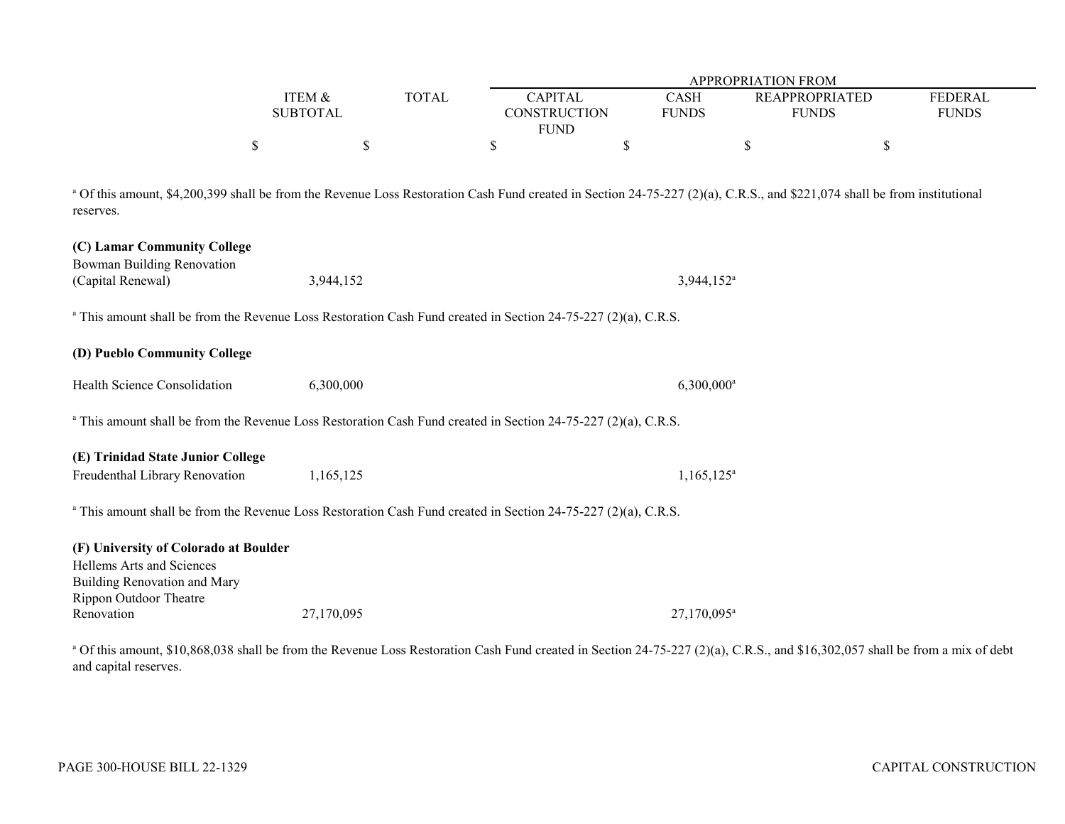|          |              |                     | APPROPRIATION FROM |                       |         |  |  |  |  |
|----------|--------------|---------------------|--------------------|-----------------------|---------|--|--|--|--|
| ITEM &   | <b>TOTAL</b> | <b>CAPITAL</b>      | <b>CASH</b>        | <b>REAPPROPRIATED</b> | FEDERAL |  |  |  |  |
| SUBTOTAL |              | <b>CONSTRUCTION</b> | <b>FUNDS</b>       | <b>FUNDS</b>          | FUNDS   |  |  |  |  |
|          |              | FUND                |                    |                       |         |  |  |  |  |
|          |              |                     |                    |                       |         |  |  |  |  |

<sup>a</sup> Of this amount, \$4,200,399 shall be from the Revenue Loss Restoration Cash Fund created in Section 24-75-227 (2)(a), C.R.S., and \$221,074 shall be from institutional reserves.

| (C) Lamar Community College<br><b>Bowman Building Renovation</b> |                                                                                                                           |                         |
|------------------------------------------------------------------|---------------------------------------------------------------------------------------------------------------------------|-------------------------|
| (Capital Renewal)                                                | 3,944,152                                                                                                                 | 3,944,152 <sup>a</sup>  |
|                                                                  | <sup>a</sup> This amount shall be from the Revenue Loss Restoration Cash Fund created in Section 24-75-227 (2)(a), C.R.S. |                         |
| (D) Pueblo Community College                                     |                                                                                                                           |                         |
| Health Science Consolidation                                     | 6,300,000                                                                                                                 | $6,300,000^{\circ}$     |
|                                                                  | <sup>a</sup> This amount shall be from the Revenue Loss Restoration Cash Fund created in Section 24-75-227 (2)(a), C.R.S. |                         |
| (E) Trinidad State Junior College                                |                                                                                                                           |                         |
| Freudenthal Library Renovation                                   | 1,165,125                                                                                                                 | $1,165,125^{\circ}$     |
|                                                                  | <sup>a</sup> This amount shall be from the Revenue Loss Restoration Cash Fund created in Section 24-75-227 (2)(a), C.R.S. |                         |
| (F) University of Colorado at Boulder                            |                                                                                                                           |                         |
| Hellems Arts and Sciences<br><b>Building Renovation and Mary</b> |                                                                                                                           |                         |
| <b>Rippon Outdoor Theatre</b>                                    |                                                                                                                           |                         |
| Renovation                                                       | 27,170,095                                                                                                                | 27,170,095 <sup>a</sup> |
|                                                                  |                                                                                                                           |                         |

<sup>a</sup> Of this amount, \$10,868,038 shall be from the Revenue Loss Restoration Cash Fund created in Section 24-75-227 (2)(a), C.R.S., and \$16,302,057 shall be from a mix of debt and capital reserves.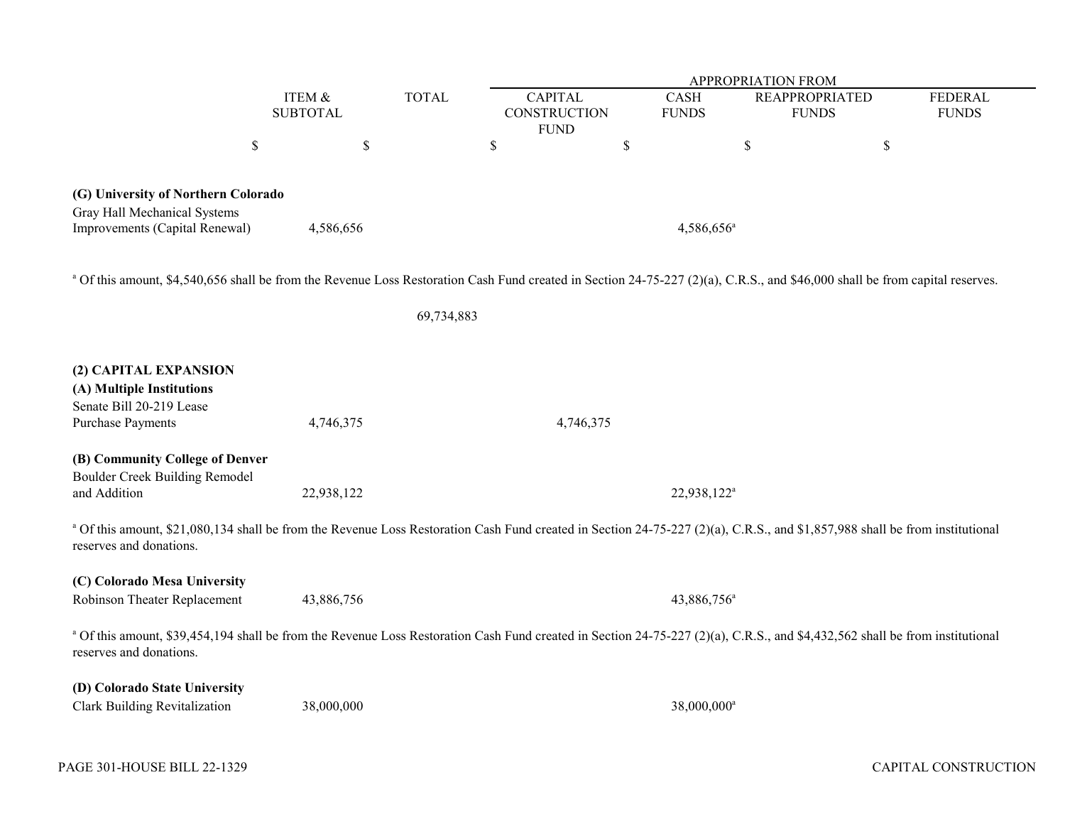|                                                                                                                                                                                                         |                 |              | APPROPRIATION FROM |                         |                       |                |  |  |
|---------------------------------------------------------------------------------------------------------------------------------------------------------------------------------------------------------|-----------------|--------------|--------------------|-------------------------|-----------------------|----------------|--|--|
|                                                                                                                                                                                                         | ITEM &          | <b>TOTAL</b> | <b>CAPITAL</b>     | <b>CASH</b>             | <b>REAPPROPRIATED</b> | <b>FEDERAL</b> |  |  |
|                                                                                                                                                                                                         | <b>SUBTOTAL</b> |              | CONSTRUCTION       | <b>FUNDS</b>            | <b>FUNDS</b>          | <b>FUNDS</b>   |  |  |
| $\boldsymbol{\mathbb{S}}$                                                                                                                                                                               | \$              |              | <b>FUND</b><br>\$  | \$                      | $\$$                  | \$             |  |  |
|                                                                                                                                                                                                         |                 |              |                    |                         |                       |                |  |  |
|                                                                                                                                                                                                         |                 |              |                    |                         |                       |                |  |  |
| (G) University of Northern Colorado<br>Gray Hall Mechanical Systems                                                                                                                                     |                 |              |                    |                         |                       |                |  |  |
| Improvements (Capital Renewal)                                                                                                                                                                          | 4,586,656       |              |                    | 4,586,656 <sup>a</sup>  |                       |                |  |  |
|                                                                                                                                                                                                         |                 |              |                    |                         |                       |                |  |  |
|                                                                                                                                                                                                         |                 |              |                    |                         |                       |                |  |  |
| <sup>a</sup> Of this amount, \$4,540,656 shall be from the Revenue Loss Restoration Cash Fund created in Section 24-75-227 (2)(a), C.R.S., and \$46,000 shall be from capital reserves.                 |                 |              |                    |                         |                       |                |  |  |
|                                                                                                                                                                                                         |                 | 69,734,883   |                    |                         |                       |                |  |  |
|                                                                                                                                                                                                         |                 |              |                    |                         |                       |                |  |  |
| (2) CAPITAL EXPANSION                                                                                                                                                                                   |                 |              |                    |                         |                       |                |  |  |
| (A) Multiple Institutions                                                                                                                                                                               |                 |              |                    |                         |                       |                |  |  |
| Senate Bill 20-219 Lease                                                                                                                                                                                |                 |              |                    |                         |                       |                |  |  |
| <b>Purchase Payments</b>                                                                                                                                                                                | 4,746,375       |              | 4,746,375          |                         |                       |                |  |  |
| (B) Community College of Denver                                                                                                                                                                         |                 |              |                    |                         |                       |                |  |  |
| Boulder Creek Building Remodel                                                                                                                                                                          |                 |              |                    |                         |                       |                |  |  |
| and Addition                                                                                                                                                                                            | 22,938,122      |              |                    | 22,938,122 <sup>a</sup> |                       |                |  |  |
|                                                                                                                                                                                                         |                 |              |                    |                         |                       |                |  |  |
| a Of this amount, \$21,080,134 shall be from the Revenue Loss Restoration Cash Fund created in Section 24-75-227 (2)(a), C.R.S., and \$1,857,988 shall be from institutional<br>reserves and donations. |                 |              |                    |                         |                       |                |  |  |
|                                                                                                                                                                                                         |                 |              |                    |                         |                       |                |  |  |
| (C) Colorado Mesa University                                                                                                                                                                            |                 |              |                    |                         |                       |                |  |  |
| Robinson Theater Replacement                                                                                                                                                                            | 43,886,756      |              |                    | 43,886,756 <sup>a</sup> |                       |                |  |  |
| a Of this amount, \$39,454,194 shall be from the Revenue Loss Restoration Cash Fund created in Section 24-75-227 (2)(a), C.R.S., and \$4,432,562 shall be from institutional                            |                 |              |                    |                         |                       |                |  |  |
| reserves and donations.                                                                                                                                                                                 |                 |              |                    |                         |                       |                |  |  |
|                                                                                                                                                                                                         |                 |              |                    |                         |                       |                |  |  |
| (D) Colorado State University                                                                                                                                                                           |                 |              |                    |                         |                       |                |  |  |
| Clark Building Revitalization                                                                                                                                                                           | 38,000,000      |              |                    | 38,000,000 <sup>a</sup> |                       |                |  |  |
|                                                                                                                                                                                                         |                 |              |                    |                         |                       |                |  |  |
|                                                                                                                                                                                                         |                 |              |                    |                         |                       |                |  |  |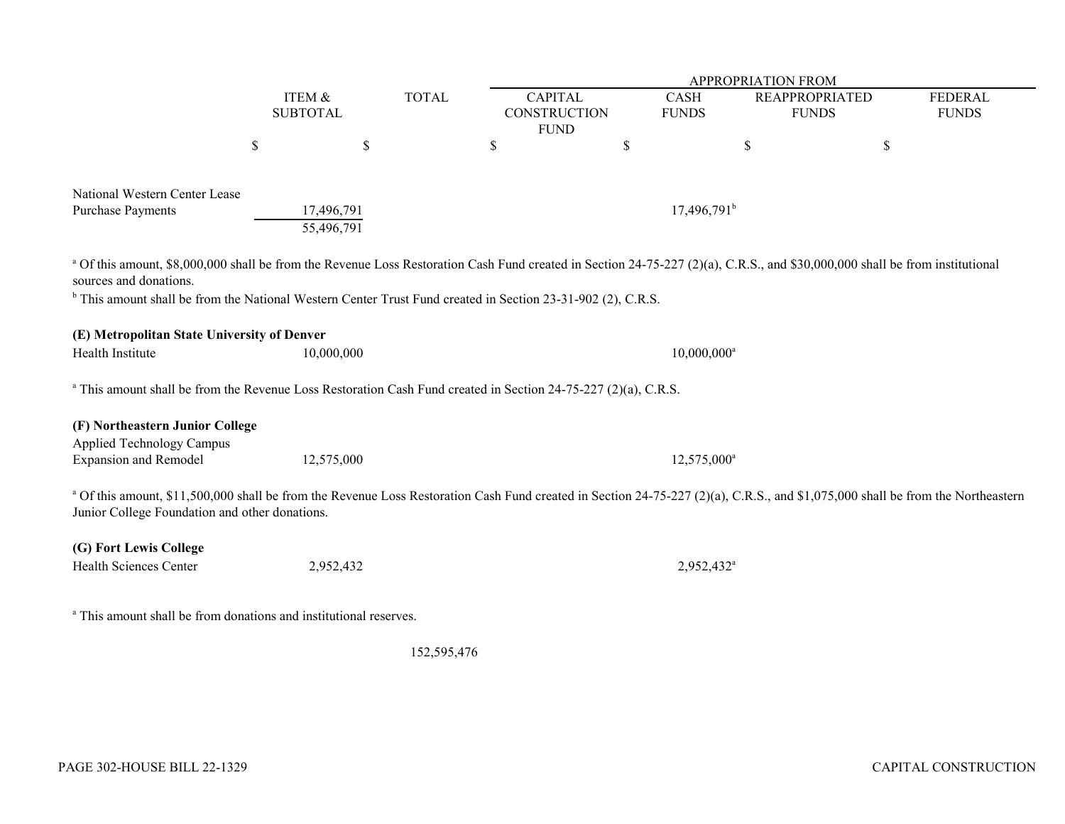|                                                                                                                                                                                            |                 | <b>TOTAL</b> | APPROPRIATION FROM   |                           |                       |                |  |  |  |  |
|--------------------------------------------------------------------------------------------------------------------------------------------------------------------------------------------|-----------------|--------------|----------------------|---------------------------|-----------------------|----------------|--|--|--|--|
|                                                                                                                                                                                            | ITEM &          |              | <b>CAPITAL</b>       | <b>CASH</b>               | <b>REAPPROPRIATED</b> | <b>FEDERAL</b> |  |  |  |  |
|                                                                                                                                                                                            | <b>SUBTOTAL</b> |              | CONSTRUCTION         | <b>FUNDS</b>              | <b>FUNDS</b>          | <b>FUNDS</b>   |  |  |  |  |
|                                                                                                                                                                                            |                 |              | <b>FUND</b>          |                           |                       |                |  |  |  |  |
|                                                                                                                                                                                            | \$              | \$           | $\sqrt$              | \$                        | \$                    | $\mathcal{S}$  |  |  |  |  |
|                                                                                                                                                                                            |                 |              |                      |                           |                       |                |  |  |  |  |
|                                                                                                                                                                                            |                 |              |                      |                           |                       |                |  |  |  |  |
| National Western Center Lease                                                                                                                                                              |                 |              |                      |                           |                       |                |  |  |  |  |
| <b>Purchase Payments</b><br>17,496,791                                                                                                                                                     |                 |              | $17,496,791^{\rm b}$ |                           |                       |                |  |  |  |  |
|                                                                                                                                                                                            | 55,496,791      |              |                      |                           |                       |                |  |  |  |  |
|                                                                                                                                                                                            |                 |              |                      |                           |                       |                |  |  |  |  |
| a Of this amount, \$8,000,000 shall be from the Revenue Loss Restoration Cash Fund created in Section 24-75-227 (2)(a), C.R.S., and \$30,000,000 shall be from institutional               |                 |              |                      |                           |                       |                |  |  |  |  |
| sources and donations.                                                                                                                                                                     |                 |              |                      |                           |                       |                |  |  |  |  |
| <sup>b</sup> This amount shall be from the National Western Center Trust Fund created in Section 23-31-902 (2), C.R.S.                                                                     |                 |              |                      |                           |                       |                |  |  |  |  |
|                                                                                                                                                                                            |                 |              |                      |                           |                       |                |  |  |  |  |
| (E) Metropolitan State University of Denver                                                                                                                                                |                 |              |                      |                           |                       |                |  |  |  |  |
| Health Institute                                                                                                                                                                           | 10,000,000      |              |                      | $10,000,000$ <sup>a</sup> |                       |                |  |  |  |  |
|                                                                                                                                                                                            |                 |              |                      |                           |                       |                |  |  |  |  |
| <sup>a</sup> This amount shall be from the Revenue Loss Restoration Cash Fund created in Section 24-75-227 (2)(a), C.R.S.                                                                  |                 |              |                      |                           |                       |                |  |  |  |  |
|                                                                                                                                                                                            |                 |              |                      |                           |                       |                |  |  |  |  |
| (F) Northeastern Junior College                                                                                                                                                            |                 |              |                      |                           |                       |                |  |  |  |  |
| <b>Applied Technology Campus</b>                                                                                                                                                           |                 |              |                      |                           |                       |                |  |  |  |  |
| <b>Expansion and Remodel</b>                                                                                                                                                               | 12,575,000      |              |                      | $12,575,000^{\circ}$      |                       |                |  |  |  |  |
|                                                                                                                                                                                            |                 |              |                      |                           |                       |                |  |  |  |  |
| <sup>a</sup> Of this amount, \$11,500,000 shall be from the Revenue Loss Restoration Cash Fund created in Section 24-75-227 (2)(a), C.R.S., and \$1,075,000 shall be from the Northeastern |                 |              |                      |                           |                       |                |  |  |  |  |
| Junior College Foundation and other donations.                                                                                                                                             |                 |              |                      |                           |                       |                |  |  |  |  |
|                                                                                                                                                                                            |                 |              |                      |                           |                       |                |  |  |  |  |
| (G) Fort Lewis College                                                                                                                                                                     |                 |              |                      |                           |                       |                |  |  |  |  |
| Health Sciences Center                                                                                                                                                                     | 2,952,432       |              |                      | 2,952,432 <sup>a</sup>    |                       |                |  |  |  |  |
|                                                                                                                                                                                            |                 |              |                      |                           |                       |                |  |  |  |  |
| <sup>a</sup> This amount shall be from donations and institutional reserves.                                                                                                               |                 |              |                      |                           |                       |                |  |  |  |  |
|                                                                                                                                                                                            |                 |              |                      |                           |                       |                |  |  |  |  |
|                                                                                                                                                                                            |                 | 152,595,476  |                      |                           |                       |                |  |  |  |  |